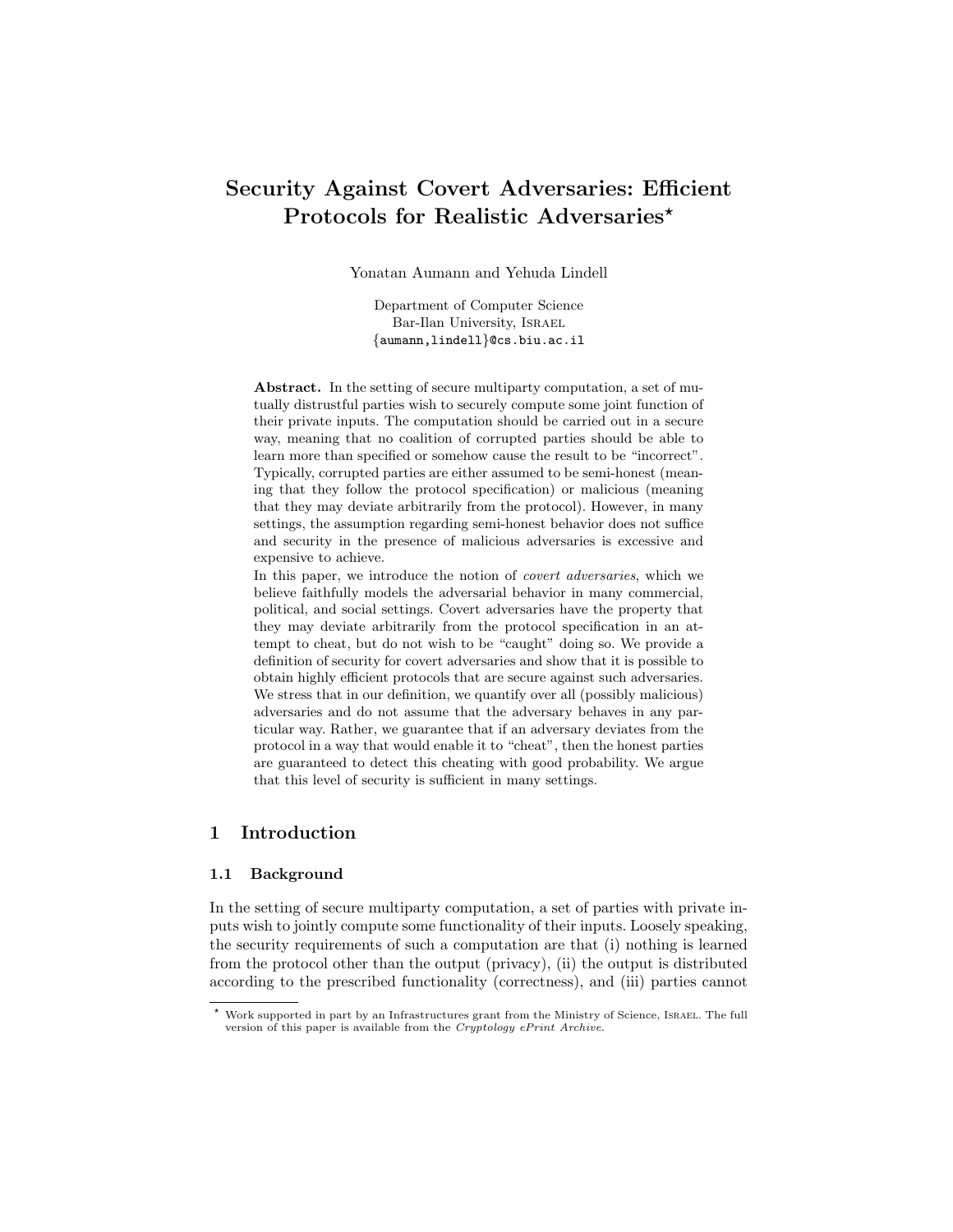# Security Against Covert Adversaries: Efficient Protocols for Realistic Adversaries<sup>\*</sup>

Yonatan Aumann and Yehuda Lindell

Department of Computer Science Bar-Ilan University, ISRAEL {aumann,lindell}@cs.biu.ac.il

Abstract. In the setting of secure multiparty computation, a set of mutually distrustful parties wish to securely compute some joint function of their private inputs. The computation should be carried out in a secure way, meaning that no coalition of corrupted parties should be able to learn more than specified or somehow cause the result to be "incorrect". Typically, corrupted parties are either assumed to be semi-honest (meaning that they follow the protocol specification) or malicious (meaning that they may deviate arbitrarily from the protocol). However, in many settings, the assumption regarding semi-honest behavior does not suffice and security in the presence of malicious adversaries is excessive and expensive to achieve.

In this paper, we introduce the notion of covert adversaries, which we believe faithfully models the adversarial behavior in many commercial, political, and social settings. Covert adversaries have the property that they may deviate arbitrarily from the protocol specification in an attempt to cheat, but do not wish to be "caught" doing so. We provide a definition of security for covert adversaries and show that it is possible to obtain highly efficient protocols that are secure against such adversaries. We stress that in our definition, we quantify over all (possibly malicious) adversaries and do not assume that the adversary behaves in any particular way. Rather, we guarantee that if an adversary deviates from the protocol in a way that would enable it to "cheat", then the honest parties are guaranteed to detect this cheating with good probability. We argue that this level of security is sufficient in many settings.

# 1 Introduction

#### 1.1 Background

In the setting of secure multiparty computation, a set of parties with private inputs wish to jointly compute some functionality of their inputs. Loosely speaking, the security requirements of such a computation are that (i) nothing is learned from the protocol other than the output (privacy), (ii) the output is distributed according to the prescribed functionality (correctness), and (iii) parties cannot

Work supported in part by an Infrastructures grant from the Ministry of Science, ISRAEL. The full version of this paper is available from the Cryptology ePrint Archive.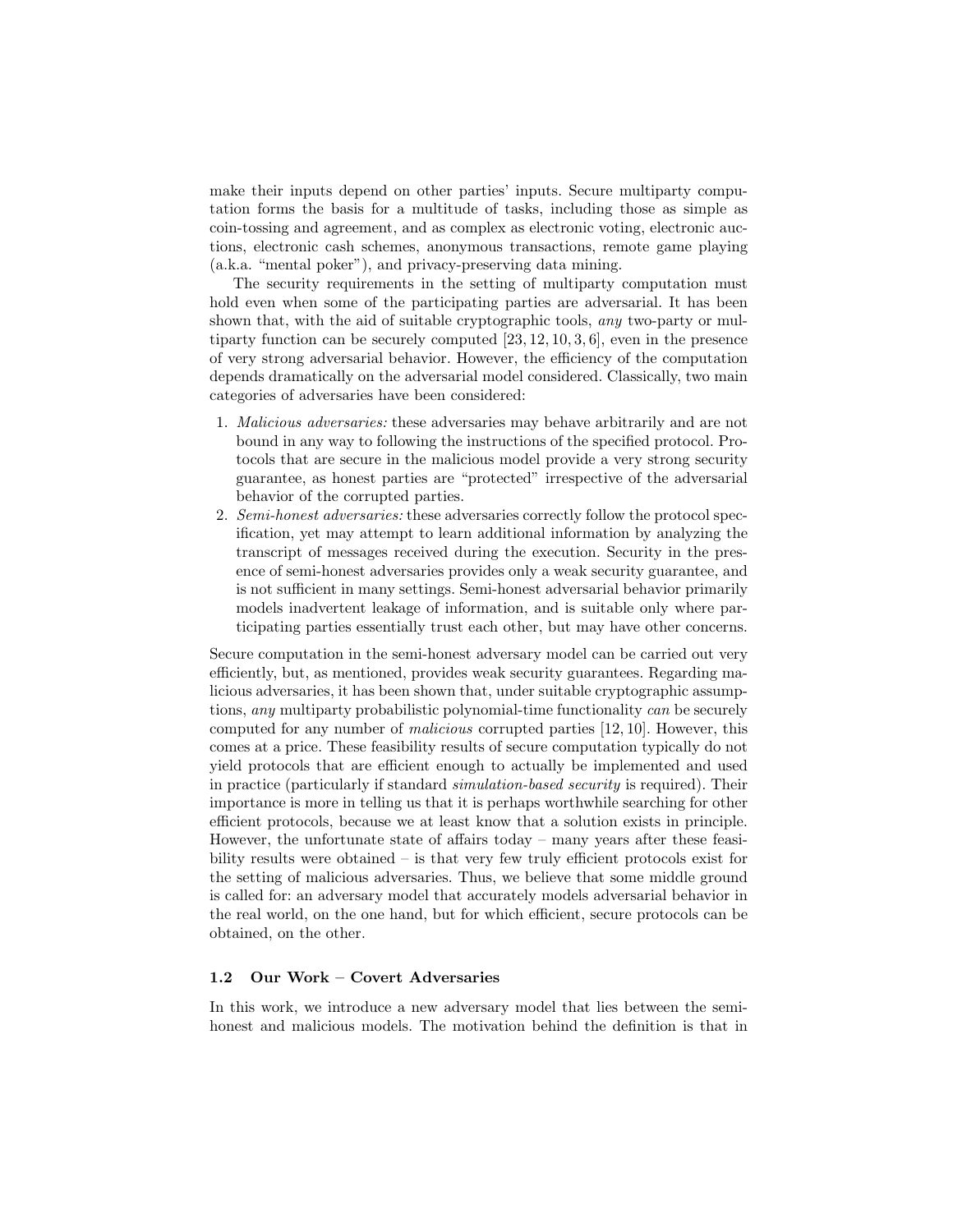make their inputs depend on other parties' inputs. Secure multiparty computation forms the basis for a multitude of tasks, including those as simple as coin-tossing and agreement, and as complex as electronic voting, electronic auctions, electronic cash schemes, anonymous transactions, remote game playing (a.k.a. "mental poker"), and privacy-preserving data mining.

The security requirements in the setting of multiparty computation must hold even when some of the participating parties are adversarial. It has been shown that, with the aid of suitable cryptographic tools, any two-party or multiparty function can be securely computed  $[23, 12, 10, 3, 6]$ , even in the presence of very strong adversarial behavior. However, the efficiency of the computation depends dramatically on the adversarial model considered. Classically, two main categories of adversaries have been considered:

- 1. Malicious adversaries: these adversaries may behave arbitrarily and are not bound in any way to following the instructions of the specified protocol. Protocols that are secure in the malicious model provide a very strong security guarantee, as honest parties are "protected" irrespective of the adversarial behavior of the corrupted parties.
- 2. Semi-honest adversaries: these adversaries correctly follow the protocol specification, yet may attempt to learn additional information by analyzing the transcript of messages received during the execution. Security in the presence of semi-honest adversaries provides only a weak security guarantee, and is not sufficient in many settings. Semi-honest adversarial behavior primarily models inadvertent leakage of information, and is suitable only where participating parties essentially trust each other, but may have other concerns.

Secure computation in the semi-honest adversary model can be carried out very efficiently, but, as mentioned, provides weak security guarantees. Regarding malicious adversaries, it has been shown that, under suitable cryptographic assumptions, any multiparty probabilistic polynomial-time functionality can be securely computed for any number of malicious corrupted parties [12, 10]. However, this comes at a price. These feasibility results of secure computation typically do not yield protocols that are efficient enough to actually be implemented and used in practice (particularly if standard simulation-based security is required). Their importance is more in telling us that it is perhaps worthwhile searching for other efficient protocols, because we at least know that a solution exists in principle. However, the unfortunate state of affairs today – many years after these feasibility results were obtained – is that very few truly efficient protocols exist for the setting of malicious adversaries. Thus, we believe that some middle ground is called for: an adversary model that accurately models adversarial behavior in the real world, on the one hand, but for which efficient, secure protocols can be obtained, on the other.

### 1.2 Our Work – Covert Adversaries

In this work, we introduce a new adversary model that lies between the semihonest and malicious models. The motivation behind the definition is that in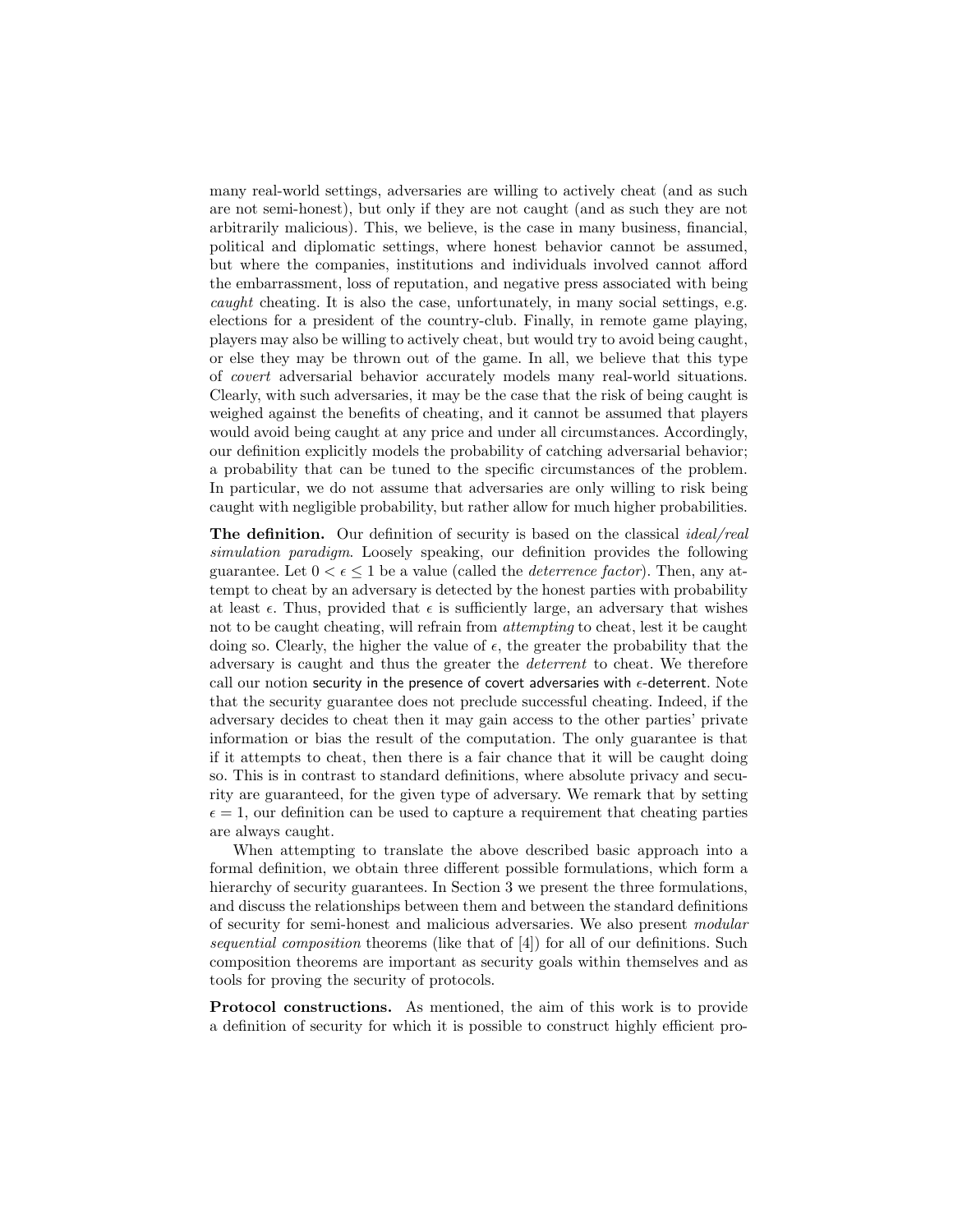many real-world settings, adversaries are willing to actively cheat (and as such are not semi-honest), but only if they are not caught (and as such they are not arbitrarily malicious). This, we believe, is the case in many business, financial, political and diplomatic settings, where honest behavior cannot be assumed, but where the companies, institutions and individuals involved cannot afford the embarrassment, loss of reputation, and negative press associated with being caught cheating. It is also the case, unfortunately, in many social settings, e.g. elections for a president of the country-club. Finally, in remote game playing, players may also be willing to actively cheat, but would try to avoid being caught, or else they may be thrown out of the game. In all, we believe that this type of covert adversarial behavior accurately models many real-world situations. Clearly, with such adversaries, it may be the case that the risk of being caught is weighed against the benefits of cheating, and it cannot be assumed that players would avoid being caught at any price and under all circumstances. Accordingly, our definition explicitly models the probability of catching adversarial behavior; a probability that can be tuned to the specific circumstances of the problem. In particular, we do not assume that adversaries are only willing to risk being caught with negligible probability, but rather allow for much higher probabilities.

The definition. Our definition of security is based on the classical ideal/real simulation paradigm. Loosely speaking, our definition provides the following guarantee. Let  $0 < \epsilon < 1$  be a value (called the *deterrence factor*). Then, any attempt to cheat by an adversary is detected by the honest parties with probability at least  $\epsilon$ . Thus, provided that  $\epsilon$  is sufficiently large, an adversary that wishes not to be caught cheating, will refrain from *attempting* to cheat, lest it be caught doing so. Clearly, the higher the value of  $\epsilon$ , the greater the probability that the adversary is caught and thus the greater the deterrent to cheat. We therefore call our notion security in the presence of covert adversaries with  $\epsilon$ -deterrent. Note that the security guarantee does not preclude successful cheating. Indeed, if the adversary decides to cheat then it may gain access to the other parties' private information or bias the result of the computation. The only guarantee is that if it attempts to cheat, then there is a fair chance that it will be caught doing so. This is in contrast to standard definitions, where absolute privacy and security are guaranteed, for the given type of adversary. We remark that by setting  $\epsilon = 1$ , our definition can be used to capture a requirement that cheating parties are always caught.

When attempting to translate the above described basic approach into a formal definition, we obtain three different possible formulations, which form a hierarchy of security guarantees. In Section 3 we present the three formulations, and discuss the relationships between them and between the standard definitions of security for semi-honest and malicious adversaries. We also present modular sequential composition theorems (like that of  $|4|$ ) for all of our definitions. Such composition theorems are important as security goals within themselves and as tools for proving the security of protocols.

Protocol constructions. As mentioned, the aim of this work is to provide a definition of security for which it is possible to construct highly efficient pro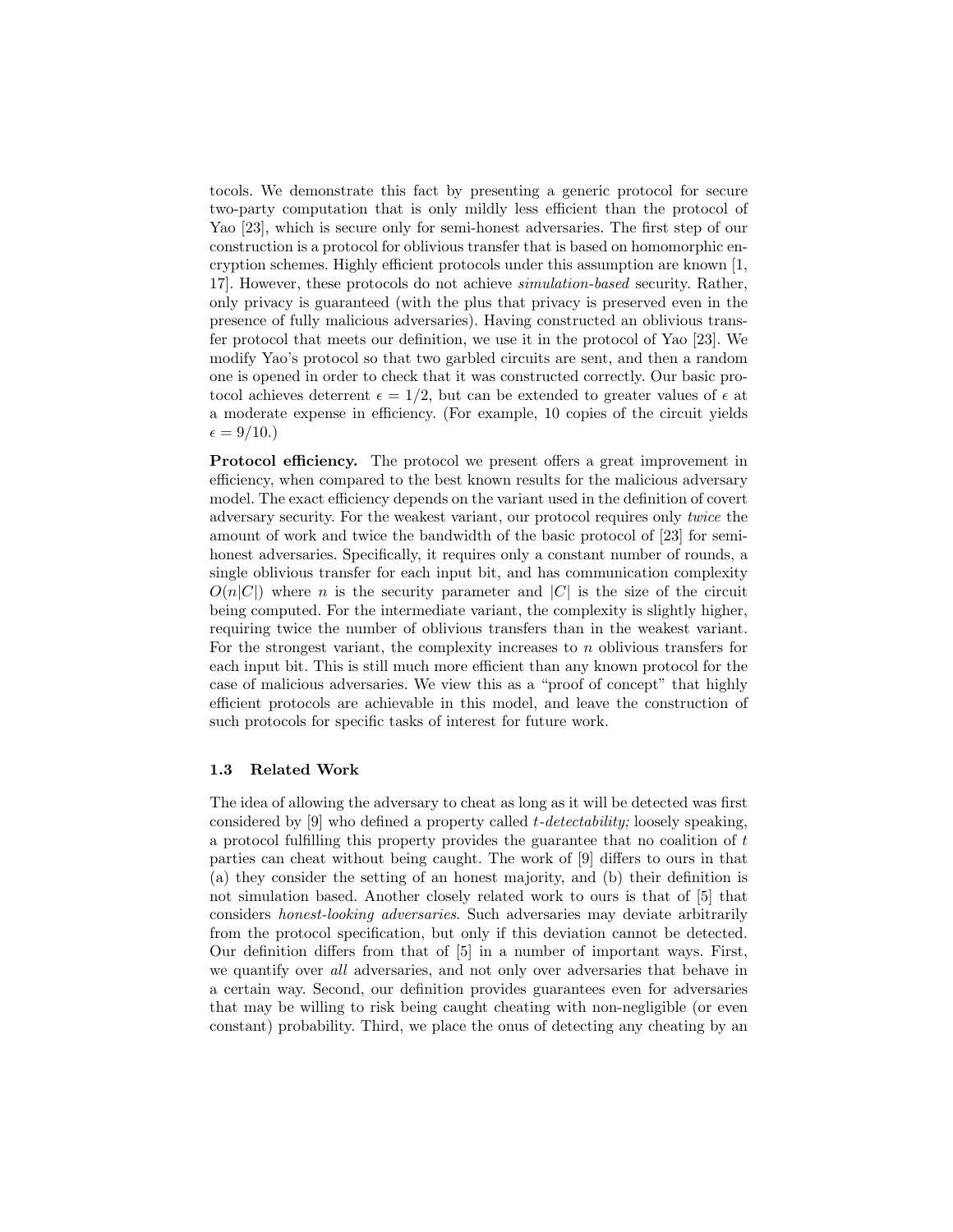tocols. We demonstrate this fact by presenting a generic protocol for secure two-party computation that is only mildly less efficient than the protocol of Yao [23], which is secure only for semi-honest adversaries. The first step of our construction is a protocol for oblivious transfer that is based on homomorphic encryption schemes. Highly efficient protocols under this assumption are known [1, 17]. However, these protocols do not achieve simulation-based security. Rather, only privacy is guaranteed (with the plus that privacy is preserved even in the presence of fully malicious adversaries). Having constructed an oblivious transfer protocol that meets our definition, we use it in the protocol of Yao [23]. We modify Yao's protocol so that two garbled circuits are sent, and then a random one is opened in order to check that it was constructed correctly. Our basic protocol achieves deterrent  $\epsilon = 1/2$ , but can be extended to greater values of  $\epsilon$  at a moderate expense in efficiency. (For example, 10 copies of the circuit yields  $\epsilon = 9/10.$ 

Protocol efficiency. The protocol we present offers a great improvement in efficiency, when compared to the best known results for the malicious adversary model. The exact efficiency depends on the variant used in the definition of covert adversary security. For the weakest variant, our protocol requires only twice the amount of work and twice the bandwidth of the basic protocol of [23] for semihonest adversaries. Specifically, it requires only a constant number of rounds, a single oblivious transfer for each input bit, and has communication complexity  $O(n|C|)$  where n is the security parameter and |C| is the size of the circuit being computed. For the intermediate variant, the complexity is slightly higher, requiring twice the number of oblivious transfers than in the weakest variant. For the strongest variant, the complexity increases to n oblivious transfers for each input bit. This is still much more efficient than any known protocol for the case of malicious adversaries. We view this as a "proof of concept" that highly efficient protocols are achievable in this model, and leave the construction of such protocols for specific tasks of interest for future work.

## 1.3 Related Work

The idea of allowing the adversary to cheat as long as it will be detected was first considered by [9] who defined a property called t-detectability; loosely speaking, a protocol fulfilling this property provides the guarantee that no coalition of  $t$ parties can cheat without being caught. The work of [9] differs to ours in that (a) they consider the setting of an honest majority, and (b) their definition is not simulation based. Another closely related work to ours is that of [5] that considers honest-looking adversaries. Such adversaries may deviate arbitrarily from the protocol specification, but only if this deviation cannot be detected. Our definition differs from that of [5] in a number of important ways. First, we quantify over all adversaries, and not only over adversaries that behave in a certain way. Second, our definition provides guarantees even for adversaries that may be willing to risk being caught cheating with non-negligible (or even constant) probability. Third, we place the onus of detecting any cheating by an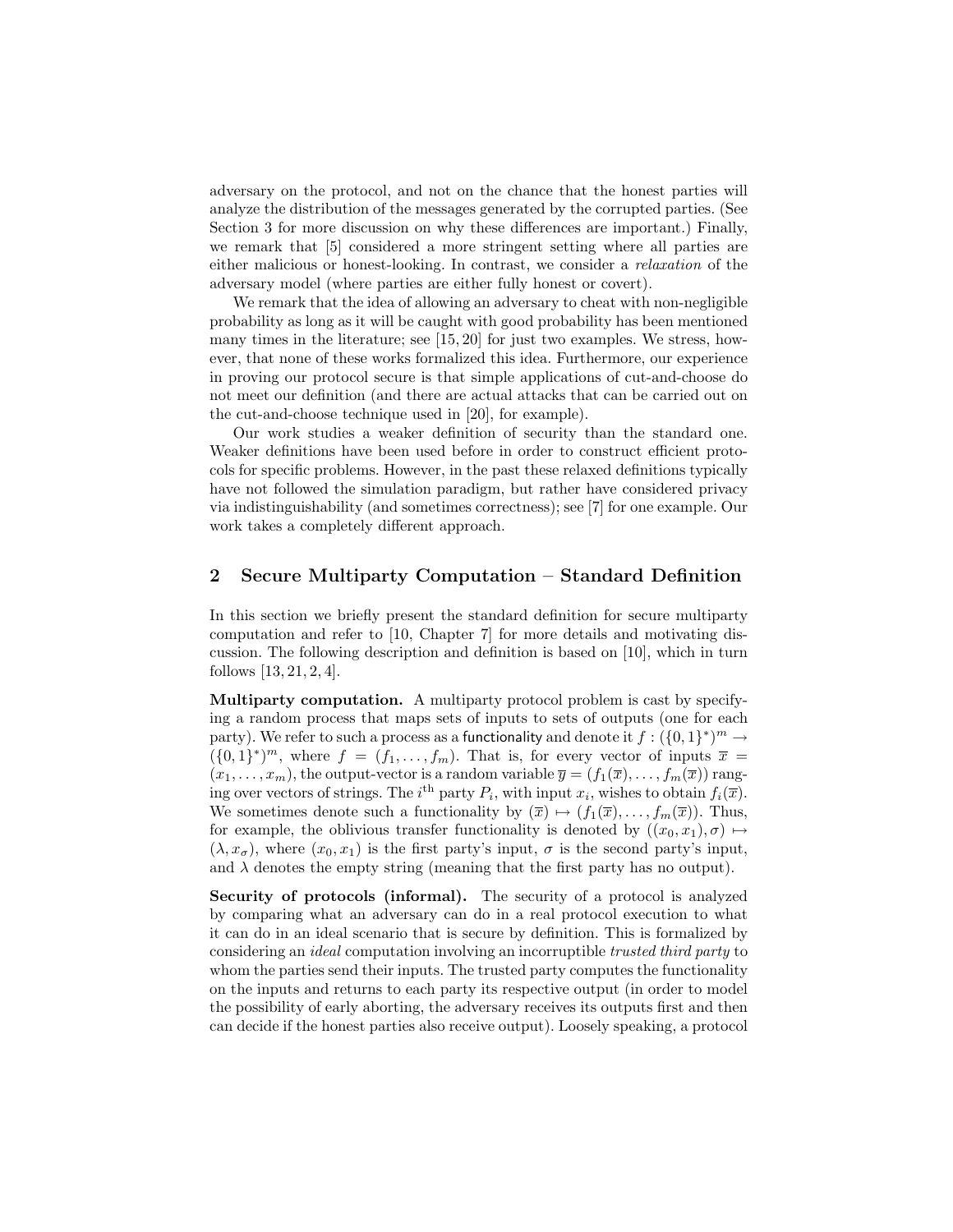adversary on the protocol, and not on the chance that the honest parties will analyze the distribution of the messages generated by the corrupted parties. (See Section 3 for more discussion on why these differences are important.) Finally, we remark that [5] considered a more stringent setting where all parties are either malicious or honest-looking. In contrast, we consider a relaxation of the adversary model (where parties are either fully honest or covert).

We remark that the idea of allowing an adversary to cheat with non-negligible probability as long as it will be caught with good probability has been mentioned many times in the literature; see [15, 20] for just two examples. We stress, however, that none of these works formalized this idea. Furthermore, our experience in proving our protocol secure is that simple applications of cut-and-choose do not meet our definition (and there are actual attacks that can be carried out on the cut-and-choose technique used in [20], for example).

Our work studies a weaker definition of security than the standard one. Weaker definitions have been used before in order to construct efficient protocols for specific problems. However, in the past these relaxed definitions typically have not followed the simulation paradigm, but rather have considered privacy via indistinguishability (and sometimes correctness); see [7] for one example. Our work takes a completely different approach.

## 2 Secure Multiparty Computation – Standard Definition

In this section we briefly present the standard definition for secure multiparty computation and refer to [10, Chapter 7] for more details and motivating discussion. The following description and definition is based on [10], which in turn follows [13, 21, 2, 4].

Multiparty computation. A multiparty protocol problem is cast by specifying a random process that maps sets of inputs to sets of outputs (one for each party). We refer to such a process as a functionality and denote it  $f: (\{0,1\}^*)^m \to$  $({0,1})^*$ <sup>m</sup>, where  $f = (f_1, \ldots, f_m)$ . That is, for every vector of inputs  $\bar{x}$  $(x_1, \ldots, x_m)$ , the output-vector is a random variable  $\overline{y} = (f_1(\overline{x}), \ldots, f_m(\overline{x}))$  ranging over vectors of strings. The *i*<sup>th</sup> party  $P_i$ , with input  $x_i$ , wishes to obtain  $f_i(\overline{x})$ . We sometimes denote such a functionality by  $(\overline{x}) \mapsto (f_1(\overline{x}), \ldots, f_m(\overline{x}))$ . Thus, for example, the oblivious transfer functionality is denoted by  $((x_0, x_1), \sigma) \mapsto$  $(\lambda, x_{\sigma})$ , where  $(x_0, x_1)$  is the first party's input,  $\sigma$  is the second party's input, and  $\lambda$  denotes the empty string (meaning that the first party has no output).

Security of protocols (informal). The security of a protocol is analyzed by comparing what an adversary can do in a real protocol execution to what it can do in an ideal scenario that is secure by definition. This is formalized by considering an ideal computation involving an incorruptible trusted third party to whom the parties send their inputs. The trusted party computes the functionality on the inputs and returns to each party its respective output (in order to model the possibility of early aborting, the adversary receives its outputs first and then can decide if the honest parties also receive output). Loosely speaking, a protocol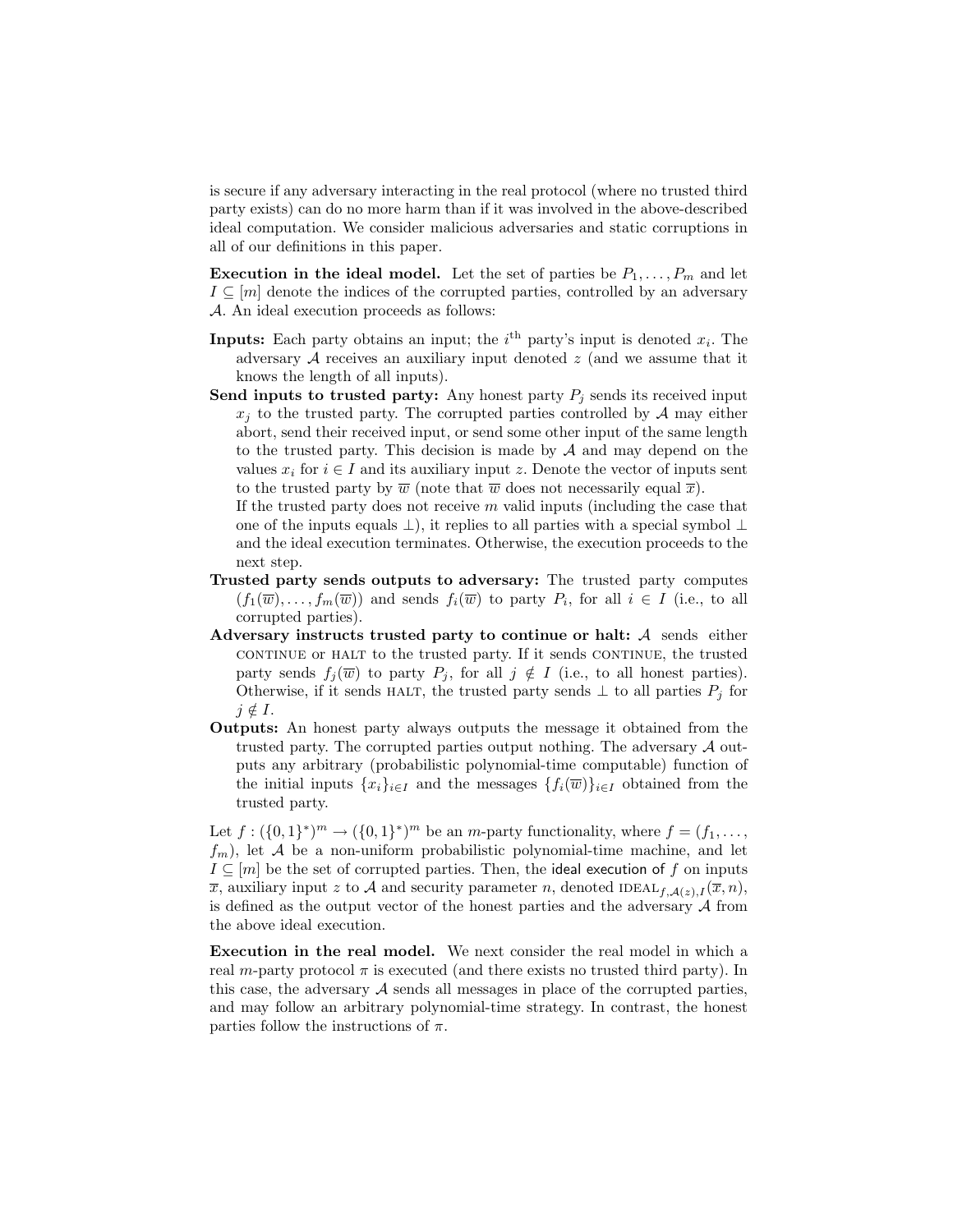is secure if any adversary interacting in the real protocol (where no trusted third party exists) can do no more harm than if it was involved in the above-described ideal computation. We consider malicious adversaries and static corruptions in all of our definitions in this paper.

**Execution in the ideal model.** Let the set of parties be  $P_1, \ldots, P_m$  and let  $I \subseteq [m]$  denote the indices of the corrupted parties, controlled by an adversary A. An ideal execution proceeds as follows:

- **Inputs:** Each party obtains an input; the  $i^{\text{th}}$  party's input is denoted  $x_i$ . The adversary  $A$  receives an auxiliary input denoted  $z$  (and we assume that it knows the length of all inputs).
- Send inputs to trusted party: Any honest party  $P_j$  sends its received input  $x_i$  to the trusted party. The corrupted parties controlled by  $\mathcal A$  may either abort, send their received input, or send some other input of the same length to the trusted party. This decision is made by  $A$  and may depend on the values  $x_i$  for  $i \in I$  and its auxiliary input z. Denote the vector of inputs sent to the trusted party by  $\overline{w}$  (note that  $\overline{w}$  does not necessarily equal  $\overline{x}$ ).

If the trusted party does not receive  $m$  valid inputs (including the case that one of the inputs equals  $\perp$ ), it replies to all parties with a special symbol  $\perp$ and the ideal execution terminates. Otherwise, the execution proceeds to the next step.

- Trusted party sends outputs to adversary: The trusted party computes  $(f_1(\overline{w}), \ldots, f_m(\overline{w}))$  and sends  $f_i(\overline{w})$  to party  $P_i$ , for all  $i \in I$  (i.e., to all corrupted parties).
- Adversary instructs trusted party to continue or halt:  $A$  sends either continue or half to the trusted party. If it sends CONTINUE, the trusted party sends  $f_j(\overline{w})$  to party  $P_j$ , for all  $j \notin I$  (i.e., to all honest parties). Otherwise, if it sends HALT, the trusted party sends  $\perp$  to all parties  $P_j$  for  $i \notin I$ .
- Outputs: An honest party always outputs the message it obtained from the trusted party. The corrupted parties output nothing. The adversary  $\mathcal A$  outputs any arbitrary (probabilistic polynomial-time computable) function of the initial inputs  $\{x_i\}_{i\in I}$  and the messages  $\{f_i(\overline{w})\}_{i\in I}$  obtained from the trusted party.

Let  $f: (\{0,1\}^*)^m \to (\{0,1\}^*)^m$  be an *m*-party functionality, where  $f = (f_1, \ldots, f_m)$  $f_m$ , let A be a non-uniform probabilistic polynomial-time machine, and let  $I \subseteq [m]$  be the set of corrupted parties. Then, the ideal execution of f on inputs  $\overline{x}$ , auxiliary input z to A and security parameter n, denoted IDEAL<sub>f,A(z),I</sub> $(\overline{x}, n)$ , is defined as the output vector of the honest parties and the adversary  $A$  from the above ideal execution.

Execution in the real model. We next consider the real model in which a real m-party protocol  $\pi$  is executed (and there exists no trusted third party). In this case, the adversary  $\mathcal A$  sends all messages in place of the corrupted parties, and may follow an arbitrary polynomial-time strategy. In contrast, the honest parties follow the instructions of  $\pi$ .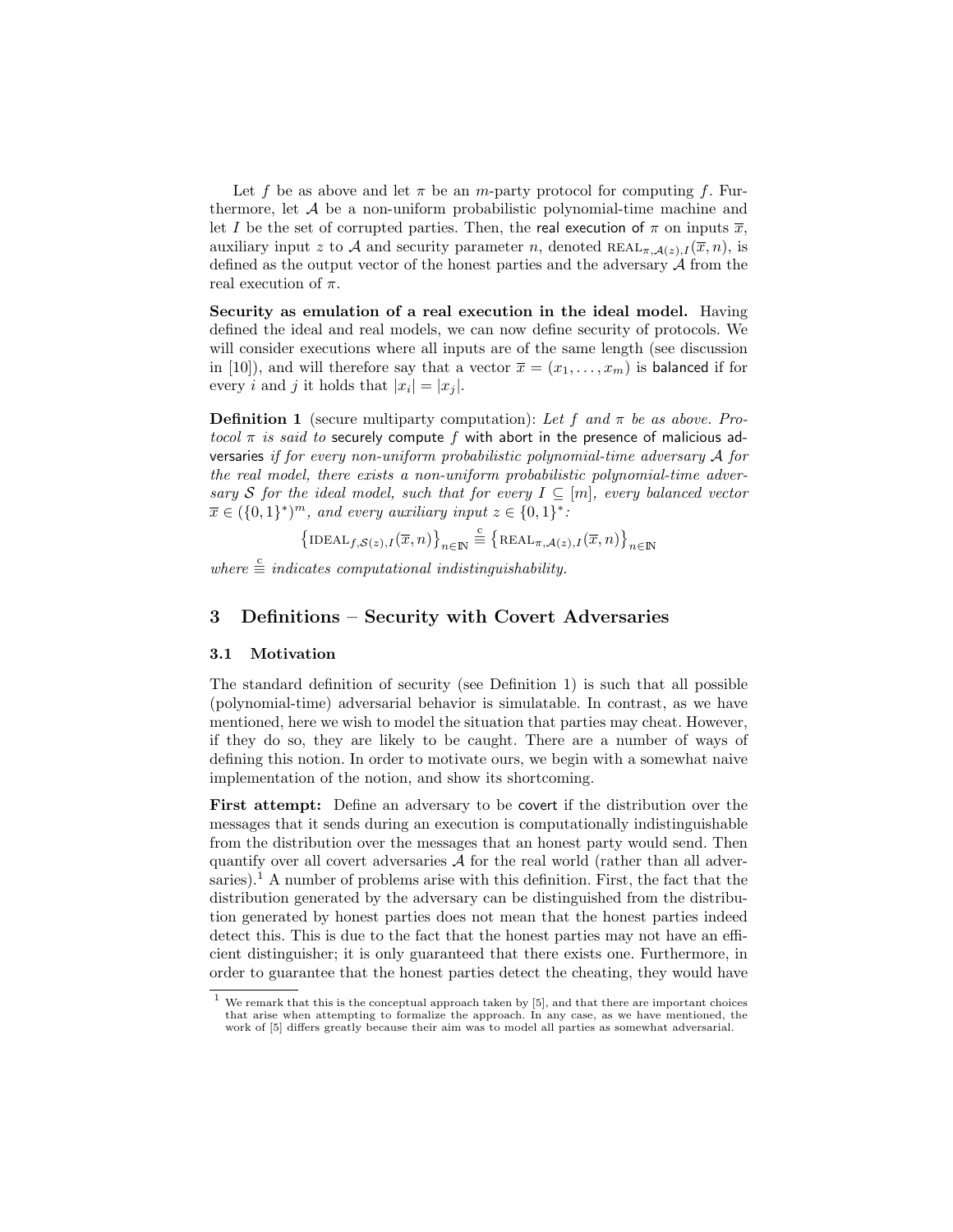Let f be as above and let  $\pi$  be an m-party protocol for computing f. Furthermore, let  $A$  be a non-uniform probabilistic polynomial-time machine and let I be the set of corrupted parties. Then, the real execution of  $\pi$  on inputs  $\overline{x}$ , auxiliary input z to A and security parameter n, denoted  $REAL_{\pi,\mathcal{A}(z),I}(\overline{x},n)$ , is defined as the output vector of the honest parties and the adversary  $\hat{\mathcal{A}}$  from the real execution of  $\pi$ .

Security as emulation of a real execution in the ideal model. Having defined the ideal and real models, we can now define security of protocols. We will consider executions where all inputs are of the same length (see discussion in [10]), and will therefore say that a vector  $\bar{x} = (x_1, \ldots, x_m)$  is balanced if for every *i* and *j* it holds that  $|x_i| = |x_j|$ .

**Definition 1** (secure multiparty computation): Let f and  $\pi$  be as above. Protocol  $\pi$  is said to securely compute f with abort in the presence of malicious adversaries if for every non-uniform probabilistic polynomial-time adversary A for the real model, there exists a non-uniform probabilistic polynomial-time adversary S for the ideal model, such that for every  $I \subseteq [m]$ , every balanced vector  $\overline{x} \in (\{0,1\}^*)^m$ , and every auxiliary input  $z \in \{0,1\}^*$ : ©

IDEAL $_{f,\mathcal{S}(z),I}(\overline{x},n)$ ª  $n \in \mathbb{N}$ c ≡ ©  $\text{REAL}_{\pi,\mathcal{A}(z),I}(\overline{x},n)$ ª  $n \in \mathbb{N}$ 

where  $\stackrel{c}{\equiv}$  indicates computational indistinguishability.

# 3 Definitions – Security with Covert Adversaries

#### 3.1 Motivation

The standard definition of security (see Definition 1) is such that all possible (polynomial-time) adversarial behavior is simulatable. In contrast, as we have mentioned, here we wish to model the situation that parties may cheat. However, if they do so, they are likely to be caught. There are a number of ways of defining this notion. In order to motivate ours, we begin with a somewhat naive implementation of the notion, and show its shortcoming.

First attempt: Define an adversary to be covert if the distribution over the messages that it sends during an execution is computationally indistinguishable from the distribution over the messages that an honest party would send. Then quantify over all covert adversaries  $A$  for the real world (rather than all adversaries).<sup>1</sup> A number of problems arise with this definition. First, the fact that the distribution generated by the adversary can be distinguished from the distribution generated by honest parties does not mean that the honest parties indeed detect this. This is due to the fact that the honest parties may not have an efficient distinguisher; it is only guaranteed that there exists one. Furthermore, in order to guarantee that the honest parties detect the cheating, they would have

<sup>&</sup>lt;sup>1</sup> We remark that this is the conceptual approach taken by  $[5]$ , and that there are important choices that arise when attempting to formalize the approach. In any case, as we have mentioned, the work of [5] differs greatly because their aim was to model all parties as somewhat adversarial.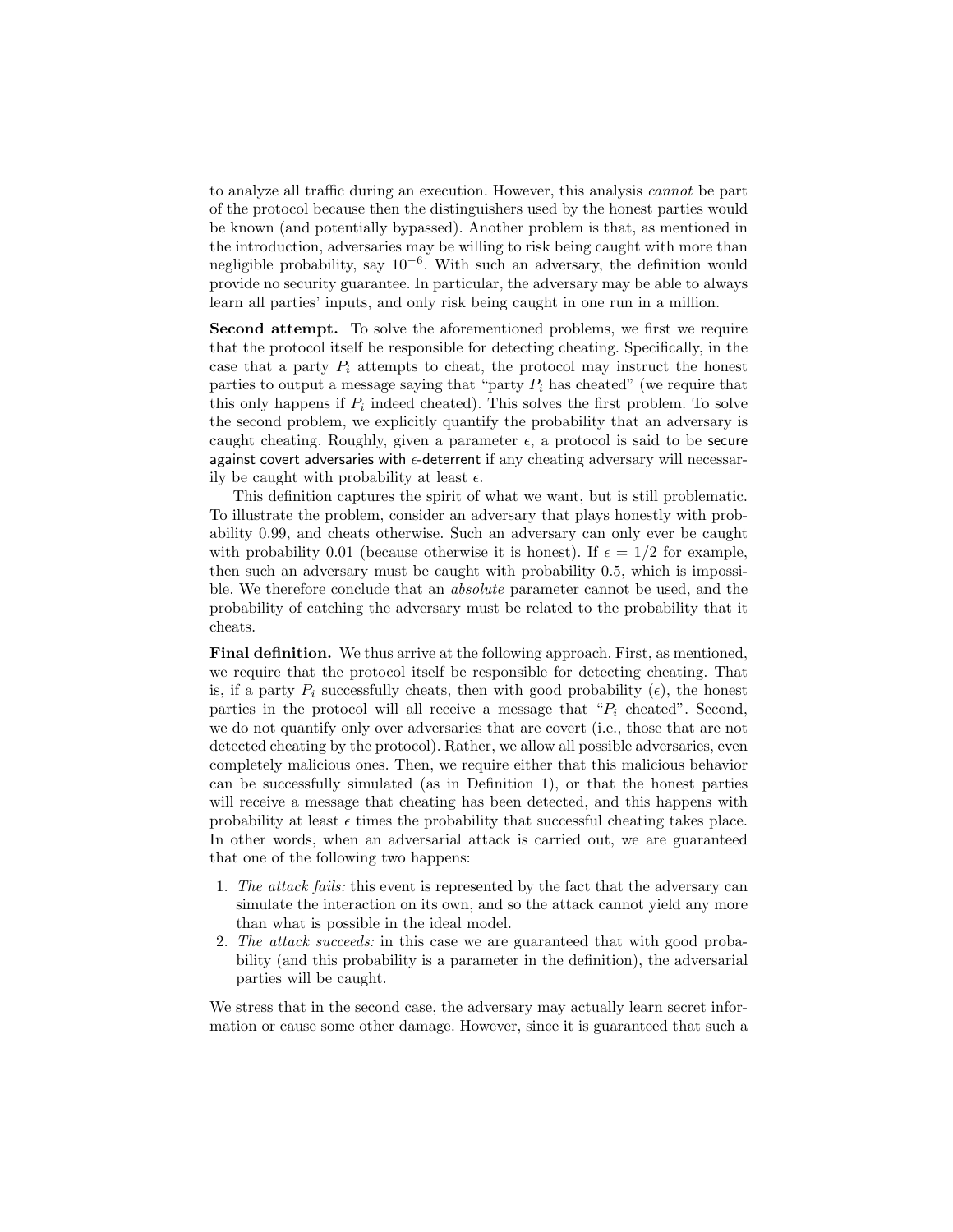to analyze all traffic during an execution. However, this analysis cannot be part of the protocol because then the distinguishers used by the honest parties would be known (and potentially bypassed). Another problem is that, as mentioned in the introduction, adversaries may be willing to risk being caught with more than negligible probability, say  $10^{-6}$ . With such an adversary, the definition would provide no security guarantee. In particular, the adversary may be able to always learn all parties' inputs, and only risk being caught in one run in a million.

Second attempt. To solve the aforementioned problems, we first we require that the protocol itself be responsible for detecting cheating. Specifically, in the case that a party  $P_i$  attempts to cheat, the protocol may instruct the honest parties to output a message saying that "party  $P_i$  has cheated" (we require that this only happens if  $P_i$  indeed cheated). This solves the first problem. To solve the second problem, we explicitly quantify the probability that an adversary is caught cheating. Roughly, given a parameter  $\epsilon$ , a protocol is said to be secure against covert adversaries with  $\epsilon$ -deterrent if any cheating adversary will necessarily be caught with probability at least  $\epsilon$ .

This definition captures the spirit of what we want, but is still problematic. To illustrate the problem, consider an adversary that plays honestly with probability 0.99, and cheats otherwise. Such an adversary can only ever be caught with probability 0.01 (because otherwise it is honest). If  $\epsilon = 1/2$  for example, then such an adversary must be caught with probability 0.5, which is impossible. We therefore conclude that an absolute parameter cannot be used, and the probability of catching the adversary must be related to the probability that it cheats.

Final definition. We thus arrive at the following approach. First, as mentioned, we require that the protocol itself be responsible for detecting cheating. That is, if a party  $P_i$  successfully cheats, then with good probability ( $\epsilon$ ), the honest parties in the protocol will all receive a message that " $P_i$  cheated". Second, we do not quantify only over adversaries that are covert (i.e., those that are not detected cheating by the protocol). Rather, we allow all possible adversaries, even completely malicious ones. Then, we require either that this malicious behavior can be successfully simulated (as in Definition 1), or that the honest parties will receive a message that cheating has been detected, and this happens with probability at least  $\epsilon$  times the probability that successful cheating takes place. In other words, when an adversarial attack is carried out, we are guaranteed that one of the following two happens:

- 1. The attack fails: this event is represented by the fact that the adversary can simulate the interaction on its own, and so the attack cannot yield any more than what is possible in the ideal model.
- 2. The attack succeeds: in this case we are guaranteed that with good probability (and this probability is a parameter in the definition), the adversarial parties will be caught.

We stress that in the second case, the adversary may actually learn secret information or cause some other damage. However, since it is guaranteed that such a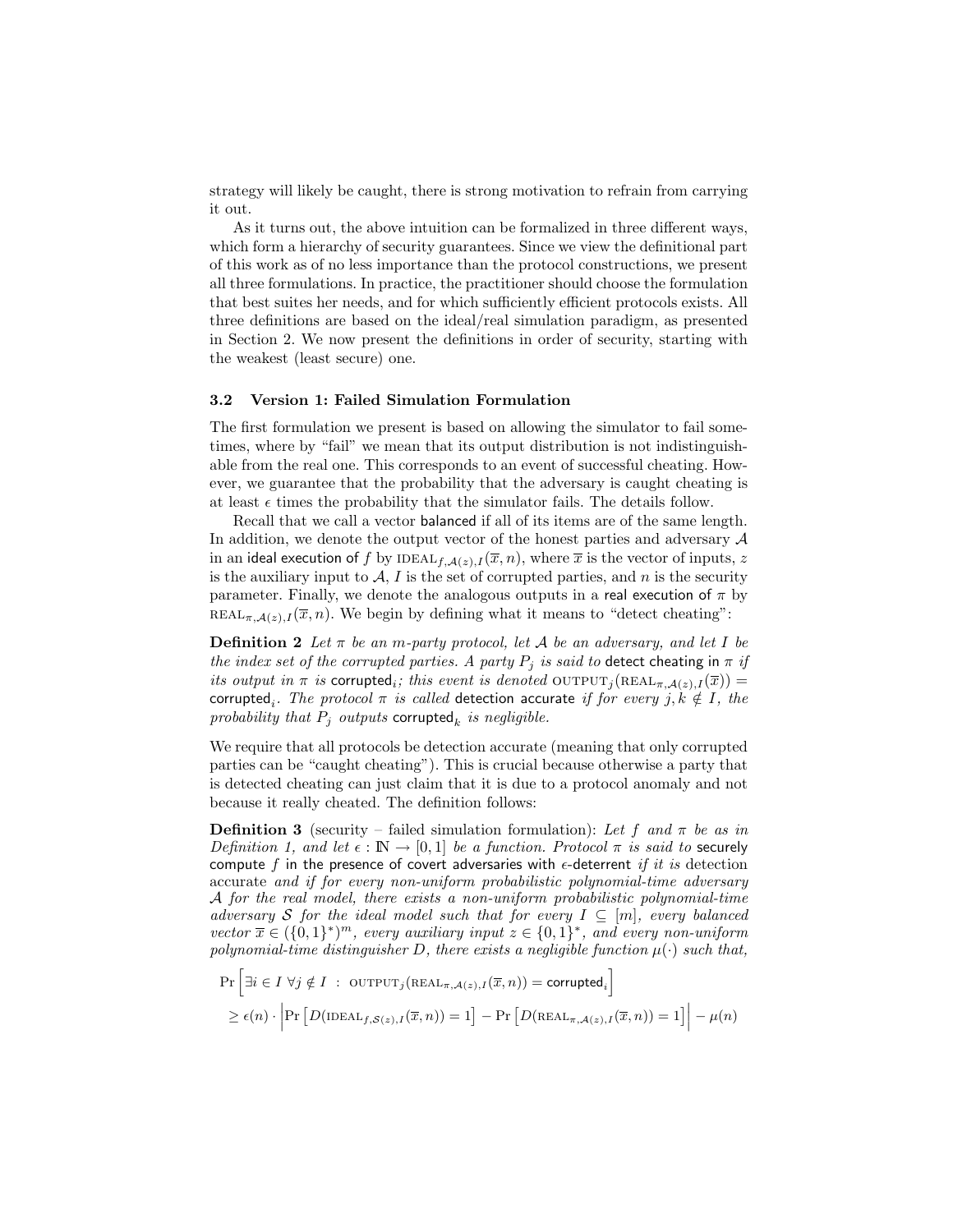strategy will likely be caught, there is strong motivation to refrain from carrying it out.

As it turns out, the above intuition can be formalized in three different ways, which form a hierarchy of security guarantees. Since we view the definitional part of this work as of no less importance than the protocol constructions, we present all three formulations. In practice, the practitioner should choose the formulation that best suites her needs, and for which sufficiently efficient protocols exists. All three definitions are based on the ideal/real simulation paradigm, as presented in Section 2. We now present the definitions in order of security, starting with the weakest (least secure) one.

#### 3.2 Version 1: Failed Simulation Formulation

The first formulation we present is based on allowing the simulator to fail sometimes, where by "fail" we mean that its output distribution is not indistinguishable from the real one. This corresponds to an event of successful cheating. However, we guarantee that the probability that the adversary is caught cheating is at least  $\epsilon$  times the probability that the simulator fails. The details follow.

Recall that we call a vector balanced if all of its items are of the same length. In addition, we denote the output vector of the honest parties and adversary  $A$ in an ideal execution of f by IDEAL<sub>f,A(z),I</sub> $(\overline{x}, n)$ , where  $\overline{x}$  is the vector of inputs, z is the auxiliary input to  $A$ , I is the set of corrupted parties, and n is the security parameter. Finally, we denote the analogous outputs in a real execution of  $\pi$  by REAL<sub>π, $\mathcal{A}(z)$ , $I(\overline{x}, n)$ . We begin by defining what it means to "detect cheating":</sub>

**Definition 2** Let  $\pi$  be an m-party protocol, let A be an adversary, and let I be the index set of the corrupted parties. A party  $P_i$  is said to detect cheating in  $\pi$  if its output in  $\pi$  is corrupted<sub>i</sub>; this event is denoted  $\text{OUTPUT}_i(\text{REAL}_{\pi,\mathcal{A}(z),I}(\overline{x})) =$ corrupted<sub>i</sub>. The protocol  $\pi$  is called detection accurate if for every  $j, k \notin I$ , the probability that  $P_j$  outputs corrupted<sub>k</sub> is negligible.

We require that all protocols be detection accurate (meaning that only corrupted parties can be "caught cheating"). This is crucial because otherwise a party that is detected cheating can just claim that it is due to a protocol anomaly and not because it really cheated. The definition follows:

**Definition 3** (security – failed simulation formulation): Let f and  $\pi$  be as in Definition 1, and let  $\epsilon : \mathbb{N} \to [0,1]$  be a function. Protocol  $\pi$  is said to securely compute f in the presence of covert adversaries with  $\epsilon$ -deterrent if it is detection accurate and if for every non-uniform probabilistic polynomial-time adversary A for the real model, there exists a non-uniform probabilistic polynomial-time adversary S for the ideal model such that for every  $I \subseteq [m]$ , every balanced vector  $\overline{x} \in (\{0,1\}^*)^m$ , every auxiliary input  $z \in \{0,1\}^*$ , and every non-uniform polynomial-time distinguisher D, there exists a negligible function  $\mu(\cdot)$  such that,

$$
\Pr\left[\exists i \in I \,\forall j \notin I \;:\; \text{OUTPUT}_j(\text{REAL}_{\pi,\mathcal{A}(z),I}(\overline{x},n)) = \text{corrupted}_i\right] \\
\geq \epsilon(n) \cdot \left| \Pr\left[D(\text{IDEAL}_{f,S(z),I}(\overline{x},n)) = 1\right] - \Pr\left[D(\text{REAL}_{\pi,\mathcal{A}(z),I}(\overline{x},n)) = 1\right] \right| - \mu(n)
$$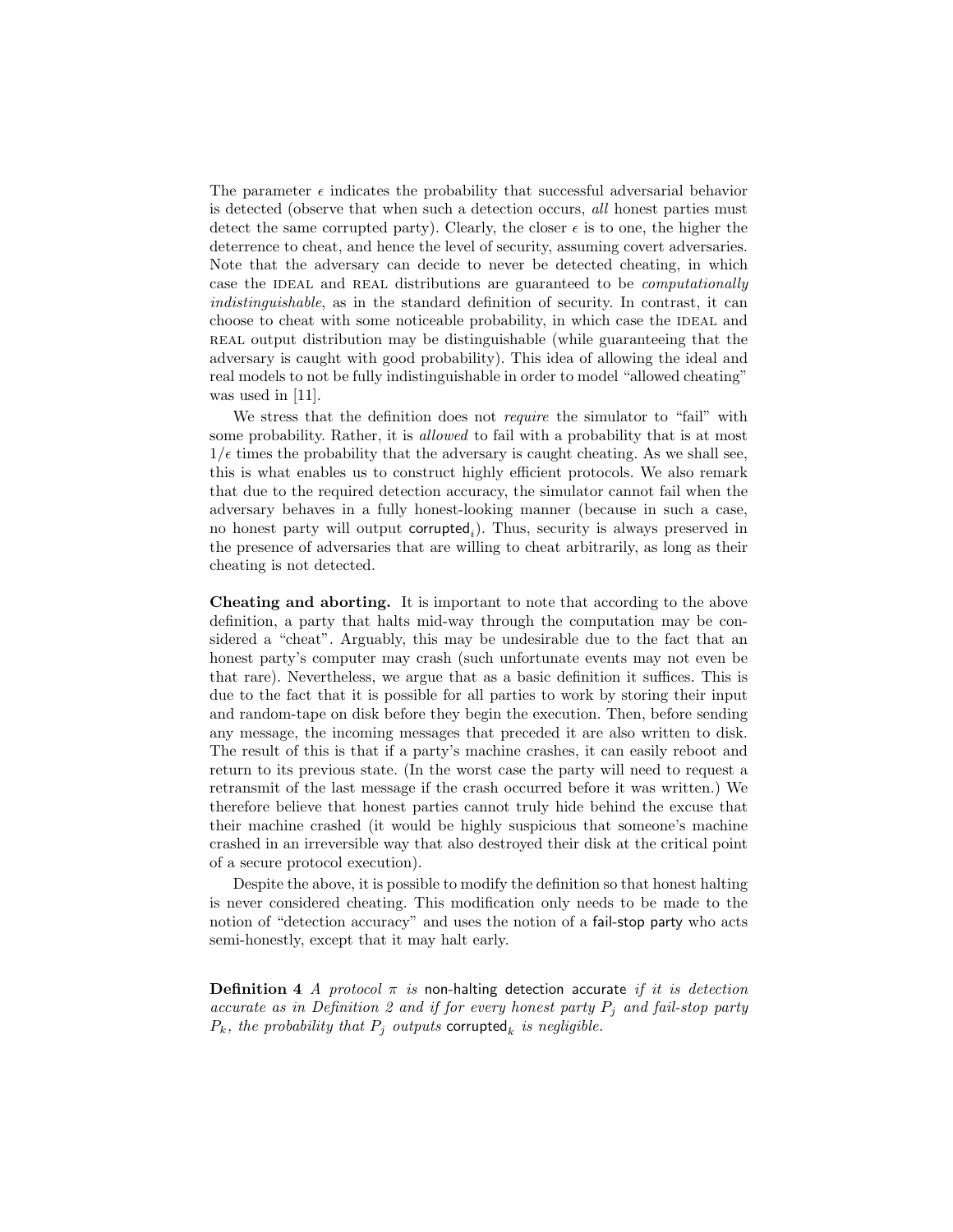The parameter  $\epsilon$  indicates the probability that successful adversarial behavior is detected (observe that when such a detection occurs, all honest parties must detect the same corrupted party). Clearly, the closer  $\epsilon$  is to one, the higher the deterrence to cheat, and hence the level of security, assuming covert adversaries. Note that the adversary can decide to never be detected cheating, in which case the IDEAL and REAL distributions are guaranteed to be *computationally* indistinguishable, as in the standard definition of security. In contrast, it can choose to cheat with some noticeable probability, in which case the IDEAL and real output distribution may be distinguishable (while guaranteeing that the adversary is caught with good probability). This idea of allowing the ideal and real models to not be fully indistinguishable in order to model "allowed cheating" was used in [11].

We stress that the definition does not *require* the simulator to "fail" with some probability. Rather, it is allowed to fail with a probability that is at most  $1/\epsilon$  times the probability that the adversary is caught cheating. As we shall see, this is what enables us to construct highly efficient protocols. We also remark that due to the required detection accuracy, the simulator cannot fail when the adversary behaves in a fully honest-looking manner (because in such a case, no honest party will output  $\text{corrupted}_i$ ). Thus, security is always preserved in the presence of adversaries that are willing to cheat arbitrarily, as long as their cheating is not detected.

Cheating and aborting. It is important to note that according to the above definition, a party that halts mid-way through the computation may be considered a "cheat". Arguably, this may be undesirable due to the fact that an honest party's computer may crash (such unfortunate events may not even be that rare). Nevertheless, we argue that as a basic definition it suffices. This is due to the fact that it is possible for all parties to work by storing their input and random-tape on disk before they begin the execution. Then, before sending any message, the incoming messages that preceded it are also written to disk. The result of this is that if a party's machine crashes, it can easily reboot and return to its previous state. (In the worst case the party will need to request a retransmit of the last message if the crash occurred before it was written.) We therefore believe that honest parties cannot truly hide behind the excuse that their machine crashed (it would be highly suspicious that someone's machine crashed in an irreversible way that also destroyed their disk at the critical point of a secure protocol execution).

Despite the above, it is possible to modify the definition so that honest halting is never considered cheating. This modification only needs to be made to the notion of "detection accuracy" and uses the notion of a fail-stop party who acts semi-honestly, except that it may halt early.

**Definition 4** A protocol  $\pi$  is non-halting detection accurate if it is detection accurate as in Definition 2 and if for every honest party  $P_j$  and fail-stop party  $P_k$ , the probability that  $P_j$  outputs corrupted<sub>k</sub> is negligible.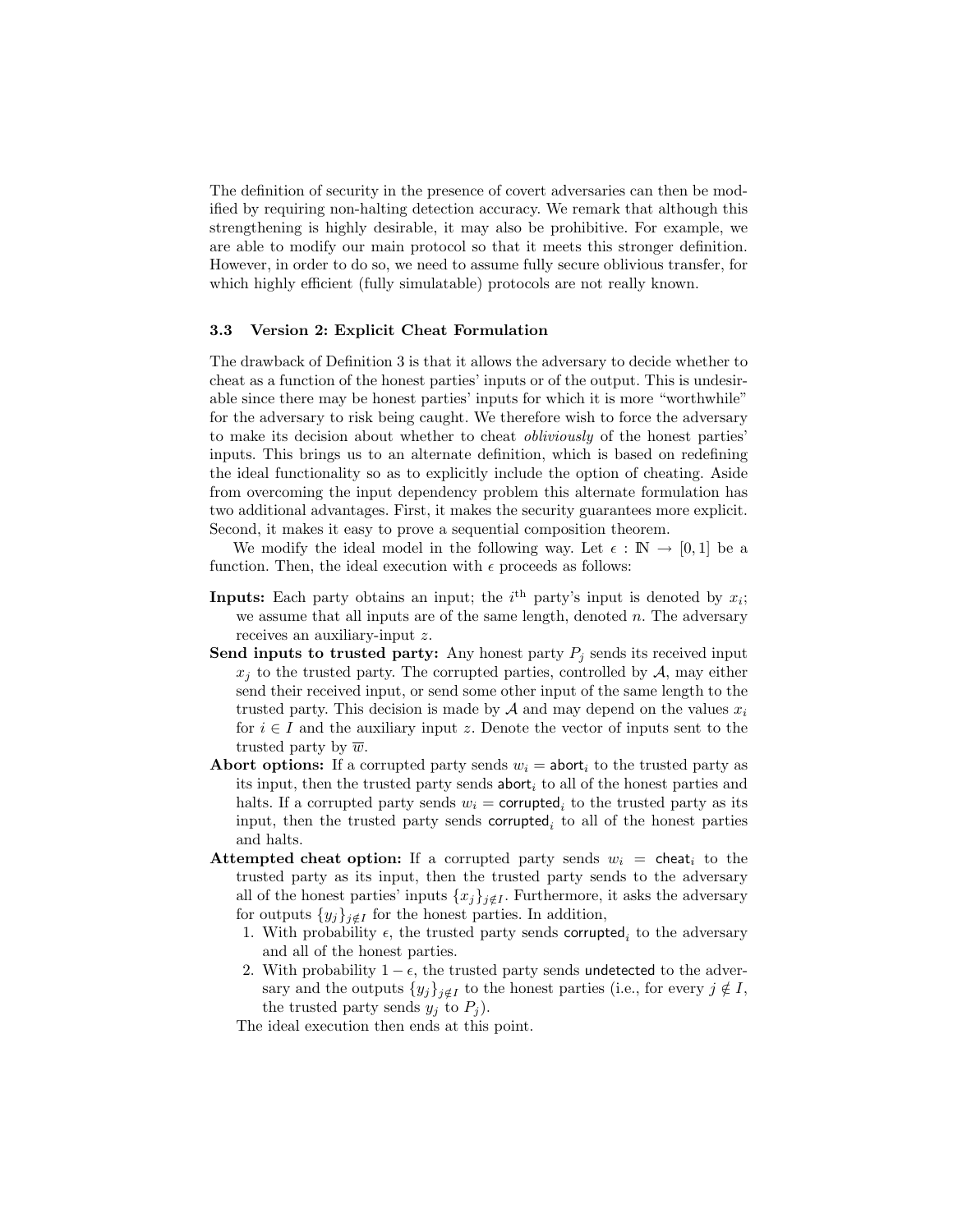The definition of security in the presence of covert adversaries can then be modified by requiring non-halting detection accuracy. We remark that although this strengthening is highly desirable, it may also be prohibitive. For example, we are able to modify our main protocol so that it meets this stronger definition. However, in order to do so, we need to assume fully secure oblivious transfer, for which highly efficient (fully simulatable) protocols are not really known.

#### 3.3 Version 2: Explicit Cheat Formulation

The drawback of Definition 3 is that it allows the adversary to decide whether to cheat as a function of the honest parties' inputs or of the output. This is undesirable since there may be honest parties' inputs for which it is more "worthwhile" for the adversary to risk being caught. We therefore wish to force the adversary to make its decision about whether to cheat obliviously of the honest parties' inputs. This brings us to an alternate definition, which is based on redefining the ideal functionality so as to explicitly include the option of cheating. Aside from overcoming the input dependency problem this alternate formulation has two additional advantages. First, it makes the security guarantees more explicit. Second, it makes it easy to prove a sequential composition theorem.

We modify the ideal model in the following way. Let  $\epsilon : \mathbb{N} \to [0,1]$  be a function. Then, the ideal execution with  $\epsilon$  proceeds as follows:

- **Inputs:** Each party obtains an input; the  $i^{\text{th}}$  party's input is denoted by  $x_i$ ; we assume that all inputs are of the same length, denoted  $n$ . The adversary receives an auxiliary-input z.
- Send inputs to trusted party: Any honest party  $P_j$  sends its received input  $x_i$  to the trusted party. The corrupted parties, controlled by  $A$ , may either send their received input, or send some other input of the same length to the trusted party. This decision is made by  $A$  and may depend on the values  $x_i$ for  $i \in I$  and the auxiliary input z. Denote the vector of inputs sent to the trusted party by  $\overline{w}$ .
- Abort options: If a corrupted party sends  $w_i =$  abort<sub>i</sub> to the trusted party as its input, then the trusted party sends abort<sub>i</sub> to all of the honest parties and halts. If a corrupted party sends  $w_i = \text{corrupted}_i$  to the trusted party as its input, then the trusted party sends corrupted<sub>i</sub> to all of the honest parties and halts.
- Attempted cheat option: If a corrupted party sends  $w_i$  = cheat<sub>i</sub> to the trusted party as its input, then the trusted party sends to the adversary all of the honest parties' inputs  ${x_j}_{j \notin I}$ . Furthermore, it asks the adversary for outputs  $\{y_j\}_{j \notin I}$  for the honest parties. In addition,
	- 1. With probability  $\epsilon$ , the trusted party sends corrupted<sub>i</sub> to the adversary and all of the honest parties.
	- 2. With probability  $1 \epsilon$ , the trusted party sends undetected to the adversary and the outputs  $\{y_j\}_{j \notin I}$  to the honest parties (i.e., for every  $j \notin I$ , the trusted party sends  $y_j$  to  $P_j$ ).

The ideal execution then ends at this point.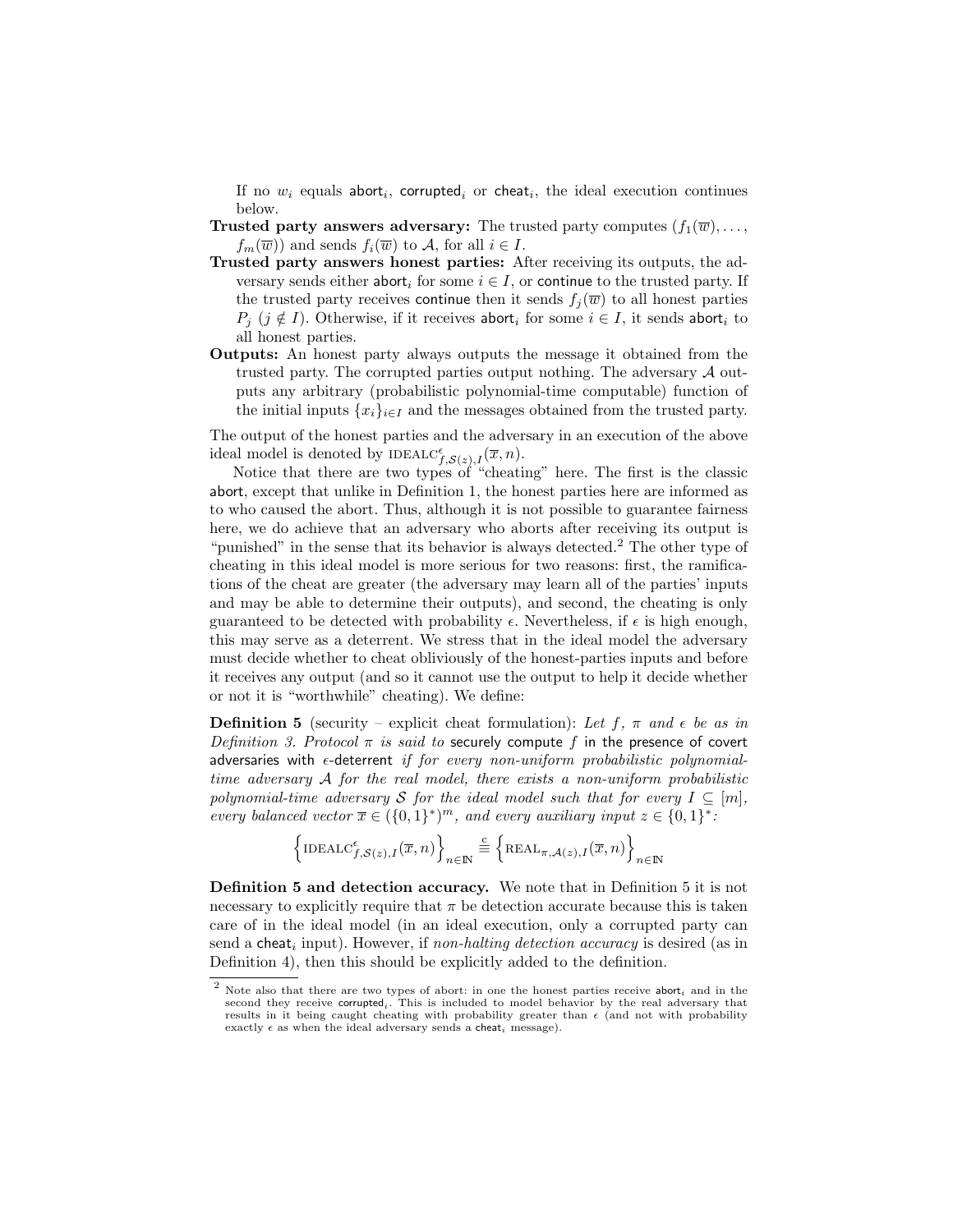If no  $w_i$  equals abort<sub>i</sub>, corrupted<sub>i</sub> or cheat<sub>i</sub>, the ideal execution continues below.

- **Trusted party answers adversary:** The trusted party computes  $(f_1(\overline{w}), \ldots,$  $f_m(\overline{w})$  and sends  $f_i(\overline{w})$  to A, for all  $i \in I$ .
- Trusted party answers honest parties: After receiving its outputs, the adversary sends either abort<sub>i</sub> for some  $i \in I$ , or continue to the trusted party. If the trusted party receives continue then it sends  $f_j(\overline{w})$  to all honest parties  $P_i$  ( $j \notin I$ ). Otherwise, if it receives abort<sub>i</sub> for some  $i \in I$ , it sends abort<sub>i</sub> to all honest parties.
- Outputs: An honest party always outputs the message it obtained from the trusted party. The corrupted parties output nothing. The adversary A outputs any arbitrary (probabilistic polynomial-time computable) function of the initial inputs  $\{x_i\}_{i\in I}$  and the messages obtained from the trusted party.

The output of the honest parties and the adversary in an execution of the above ideal model is denoted by IDEALC<sup> $\epsilon$ </sup>, $S(z)$ , $I(\overline{x}, n)$ .

Notice that there are two types of "cheating" here. The first is the classic abort, except that unlike in Definition 1, the honest parties here are informed as to who caused the abort. Thus, although it is not possible to guarantee fairness here, we do achieve that an adversary who aborts after receiving its output is "punished" in the sense that its behavior is always detected.<sup>2</sup> The other type of cheating in this ideal model is more serious for two reasons: first, the ramifications of the cheat are greater (the adversary may learn all of the parties' inputs and may be able to determine their outputs), and second, the cheating is only guaranteed to be detected with probability  $\epsilon$ . Nevertheless, if  $\epsilon$  is high enough, this may serve as a deterrent. We stress that in the ideal model the adversary must decide whether to cheat obliviously of the honest-parties inputs and before it receives any output (and so it cannot use the output to help it decide whether or not it is "worthwhile" cheating). We define:

**Definition 5** (security – explicit cheat formulation): Let f,  $\pi$  and  $\epsilon$  be as in Definition 3. Protocol  $\pi$  is said to securely compute f in the presence of covert adversaries with  $\epsilon$ -deterrent if for every non-uniform probabilistic polynomialtime adversary A for the real model, there exists a non-uniform probabilistic polynomial-time adversary S for the ideal model such that for every  $I \subseteq [m]$ , every balanced vector  $\overline{x} \in (\{0,1\}^*)^m$ , and every auxiliary input  $z \in \{0,1\}^*$ :

$$
\left\{\text{IDEALC}_{f,\mathcal{S}(z),I}^{\epsilon}(\overline{x},n)\right\}_{n\in\mathbb{N}}\overset{c}{=}\left\{\text{Real}_{\pi,\mathcal{A}(z),I}(\overline{x},n)\right\}_{n\in\mathbb{N}}
$$

Definition 5 and detection accuracy. We note that in Definition 5 it is not necessary to explicitly require that  $\pi$  be detection accurate because this is taken care of in the ideal model (in an ideal execution, only a corrupted party can send a cheat<sub>i</sub> input). However, if *non-halting detection accuracy* is desired (as in Definition 4), then this should be explicitly added to the definition.

<sup>&</sup>lt;sup>2</sup> Note also that there are two types of abort: in one the honest parties receive abort<sub>i</sub> and in the second they receive corrupted<sub>i</sub>. This is included to model behavior by the real adversary that results in it being caught cheating with probability greater than  $\epsilon$  (and not with probability exactly  $\epsilon$  as when the ideal adversary sends a cheat<sub>i</sub> message).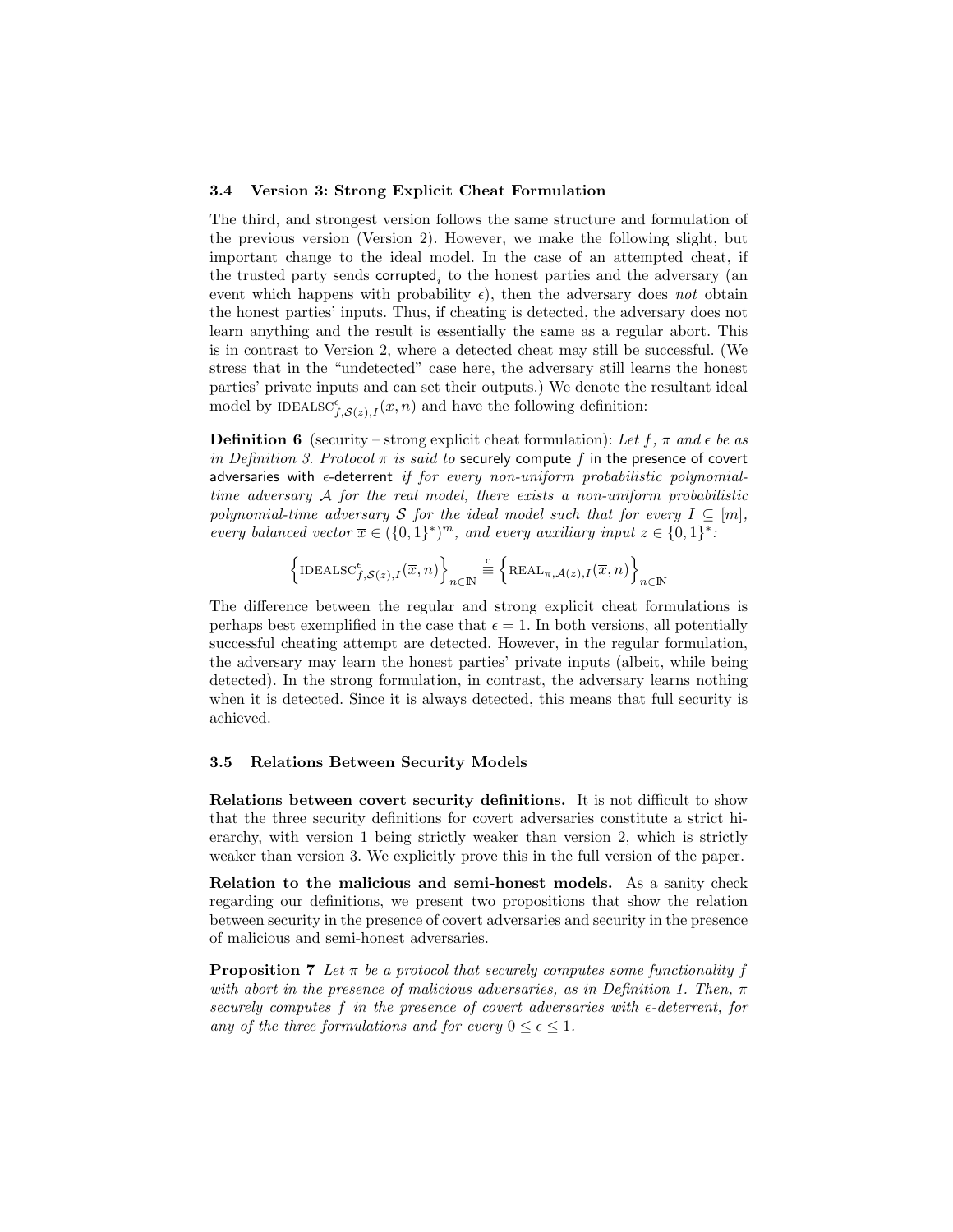#### 3.4 Version 3: Strong Explicit Cheat Formulation

The third, and strongest version follows the same structure and formulation of the previous version (Version 2). However, we make the following slight, but important change to the ideal model. In the case of an attempted cheat, if the trusted party sends  $\text{corrupted}_i$  to the honest parties and the adversary (an event which happens with probability  $\epsilon$ ), then the adversary does not obtain the honest parties' inputs. Thus, if cheating is detected, the adversary does not learn anything and the result is essentially the same as a regular abort. This is in contrast to Version 2, where a detected cheat may still be successful. (We stress that in the "undetected" case here, the adversary still learns the honest parties' private inputs and can set their outputs.) We denote the resultant ideal model by IDEALSC<sup> $\epsilon$ </sup>, $S(z)$ , $I(\overline{x}, n)$  and have the following definition:

**Definition 6** (security – strong explicit cheat formulation): Let f,  $\pi$  and  $\epsilon$  be as in Definition 3. Protocol  $\pi$  is said to securely compute f in the presence of covert adversaries with  $\epsilon$ -deterrent if for every non-uniform probabilistic polynomialtime adversary A for the real model, there exists a non-uniform probabilistic polynomial-time adversary S for the ideal model such that for every  $I \subseteq [m]$ , every balanced vector  $\overline{x} \in (\{0,1\}^*)^m$ , and every auxiliary input  $z \in \{0,1\}^*$ :

$$
\left\{\mathrm{IDEALSC}_{f,\mathcal{S}(z),I}^{\epsilon}(\overline{x},n)\right\}_{n\in\mathbb{N}}\overset{c}{\equiv}\left\{\mathrm{REAL}_{\pi,\mathcal{A}(z),I}(\overline{x},n)\right\}_{n\in\mathbb{N}}
$$

The difference between the regular and strong explicit cheat formulations is perhaps best exemplified in the case that  $\epsilon = 1$ . In both versions, all potentially successful cheating attempt are detected. However, in the regular formulation, the adversary may learn the honest parties' private inputs (albeit, while being detected). In the strong formulation, in contrast, the adversary learns nothing when it is detected. Since it is always detected, this means that full security is achieved.

#### 3.5 Relations Between Security Models

Relations between covert security definitions. It is not difficult to show that the three security definitions for covert adversaries constitute a strict hierarchy, with version 1 being strictly weaker than version 2, which is strictly weaker than version 3. We explicitly prove this in the full version of the paper.

Relation to the malicious and semi-honest models. As a sanity check regarding our definitions, we present two propositions that show the relation between security in the presence of covert adversaries and security in the presence of malicious and semi-honest adversaries.

**Proposition 7** Let  $\pi$  be a protocol that securely computes some functionality f with abort in the presence of malicious adversaries, as in Definition 1. Then,  $\pi$ securely computes f in the presence of covert adversaries with  $\epsilon$ -deterrent, for any of the three formulations and for every  $0 \leq \epsilon \leq 1$ .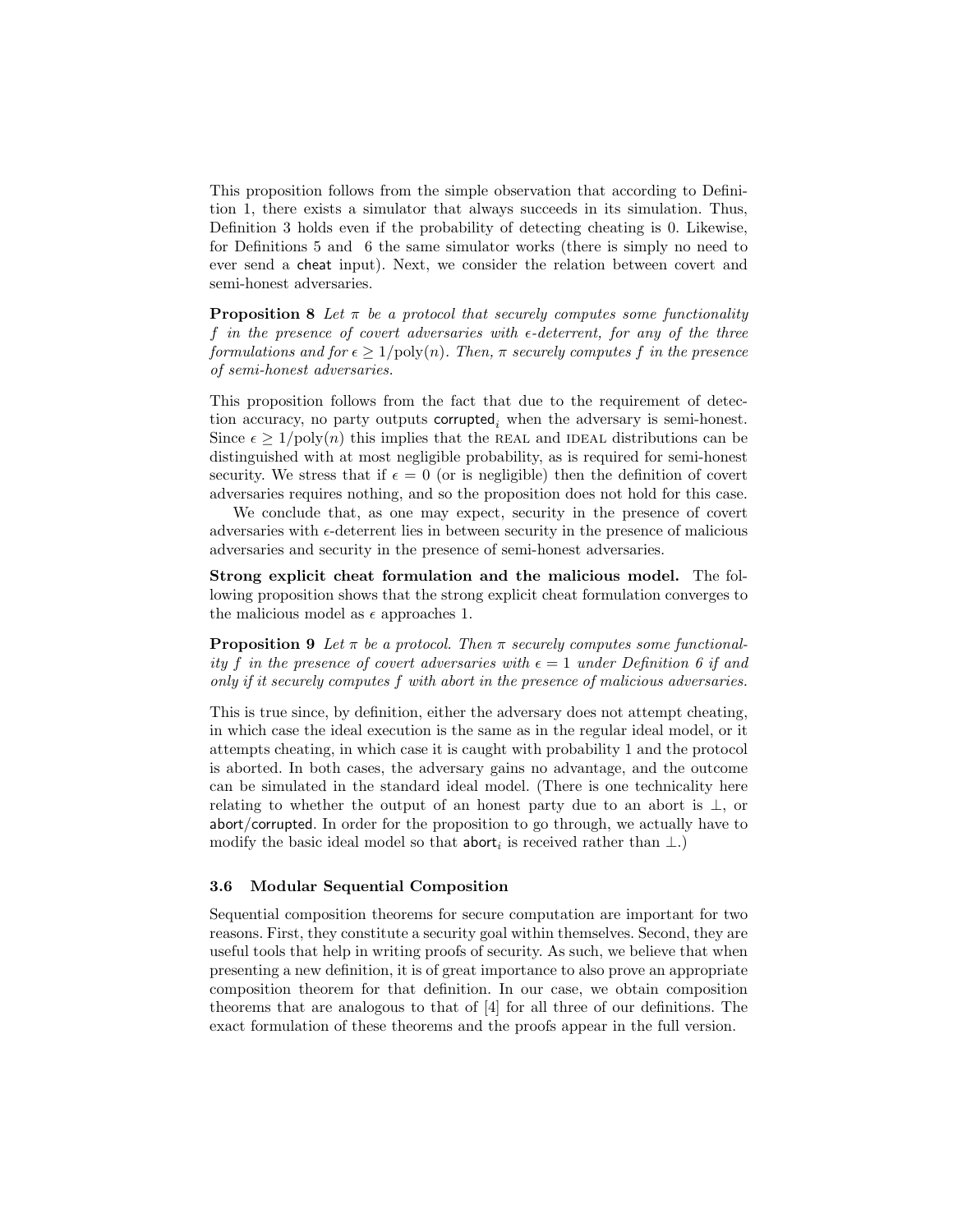This proposition follows from the simple observation that according to Definition 1, there exists a simulator that always succeeds in its simulation. Thus, Definition 3 holds even if the probability of detecting cheating is 0. Likewise, for Definitions 5 and 6 the same simulator works (there is simply no need to ever send a cheat input). Next, we consider the relation between covert and semi-honest adversaries.

**Proposition 8** Let  $\pi$  be a protocol that securely computes some functionality f in the presence of covert adversaries with  $\epsilon$ -deterrent, for any of the three formulations and for  $\epsilon \geq 1/\text{poly}(n)$ . Then,  $\pi$  securely computes f in the presence of semi-honest adversaries.

This proposition follows from the fact that due to the requirement of detection accuracy, no party outputs corrupted<sub>i</sub> when the adversary is semi-honest. Since  $\epsilon > 1/\text{poly}(n)$  this implies that the REAL and IDEAL distributions can be distinguished with at most negligible probability, as is required for semi-honest security. We stress that if  $\epsilon = 0$  (or is negligible) then the definition of covert adversaries requires nothing, and so the proposition does not hold for this case.

We conclude that, as one may expect, security in the presence of covert adversaries with  $\epsilon$ -deterrent lies in between security in the presence of malicious adversaries and security in the presence of semi-honest adversaries.

Strong explicit cheat formulation and the malicious model. The following proposition shows that the strong explicit cheat formulation converges to the malicious model as  $\epsilon$  approaches 1.

**Proposition 9** Let  $\pi$  be a protocol. Then  $\pi$  securely computes some functionality f in the presence of covert adversaries with  $\epsilon = 1$  under Definition 6 if and only if it securely computes f with abort in the presence of malicious adversaries.

This is true since, by definition, either the adversary does not attempt cheating, in which case the ideal execution is the same as in the regular ideal model, or it attempts cheating, in which case it is caught with probability 1 and the protocol is aborted. In both cases, the adversary gains no advantage, and the outcome can be simulated in the standard ideal model. (There is one technicality here relating to whether the output of an honest party due to an abort is  $\perp$ , or abort/corrupted. In order for the proposition to go through, we actually have to modify the basic ideal model so that abort<sub>i</sub> is received rather than  $\bot$ .)

#### 3.6 Modular Sequential Composition

Sequential composition theorems for secure computation are important for two reasons. First, they constitute a security goal within themselves. Second, they are useful tools that help in writing proofs of security. As such, we believe that when presenting a new definition, it is of great importance to also prove an appropriate composition theorem for that definition. In our case, we obtain composition theorems that are analogous to that of [4] for all three of our definitions. The exact formulation of these theorems and the proofs appear in the full version.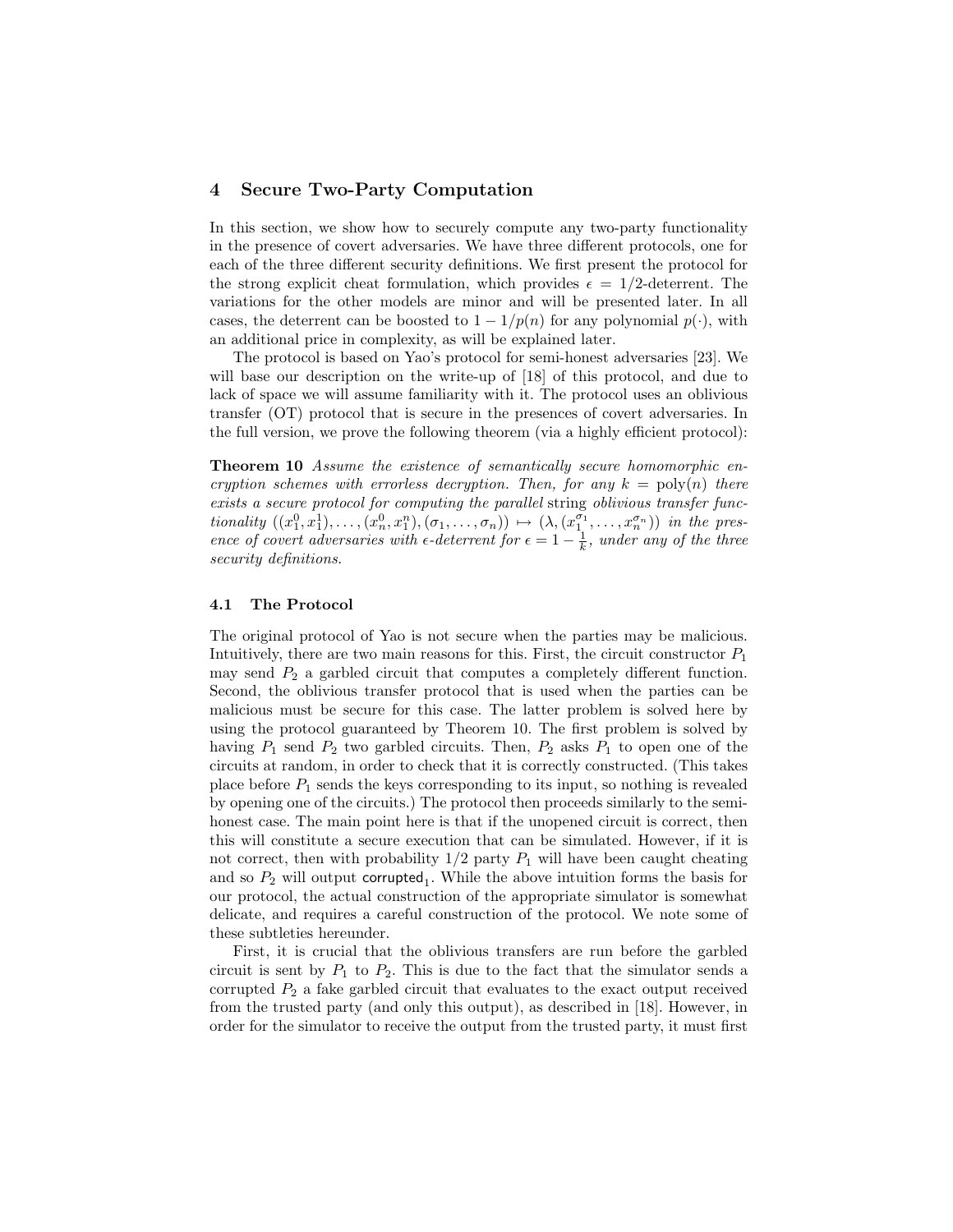## 4 Secure Two-Party Computation

In this section, we show how to securely compute any two-party functionality in the presence of covert adversaries. We have three different protocols, one for each of the three different security definitions. We first present the protocol for the strong explicit cheat formulation, which provides  $\epsilon = 1/2$ -deterrent. The variations for the other models are minor and will be presented later. In all cases, the deterrent can be boosted to  $1 - 1/p(n)$  for any polynomial  $p(\cdot)$ , with an additional price in complexity, as will be explained later.

The protocol is based on Yao's protocol for semi-honest adversaries [23]. We will base our description on the write-up of  $[18]$  of this protocol, and due to lack of space we will assume familiarity with it. The protocol uses an oblivious transfer (OT) protocol that is secure in the presences of covert adversaries. In the full version, we prove the following theorem (via a highly efficient protocol):

Theorem 10 Assume the existence of semantically secure homomorphic encryption schemes with errorless decryption. Then, for any  $k = \text{poly}(n)$  there exists a secure protocol for computing the parallel string oblivious transfer functionality  $((x_1^0, x_1^1), \ldots, (x_n^0, x_1^n), (\sigma_1, \ldots, \sigma_n)) \mapsto (\lambda, (x_1^{\sigma_1}, \ldots, x_n^{\sigma_n}))$  in the presence of covert adversaries with  $\epsilon$ -deterrent for  $\epsilon = 1 - \frac{1}{k}$ , under any of the three security definitions.

#### 4.1 The Protocol

The original protocol of Yao is not secure when the parties may be malicious. Intuitively, there are two main reasons for this. First, the circuit constructor  $P_1$ may send  $P_2$  a garbled circuit that computes a completely different function. Second, the oblivious transfer protocol that is used when the parties can be malicious must be secure for this case. The latter problem is solved here by using the protocol guaranteed by Theorem 10. The first problem is solved by having  $P_1$  send  $P_2$  two garbled circuits. Then,  $P_2$  asks  $P_1$  to open one of the circuits at random, in order to check that it is correctly constructed. (This takes place before  $P_1$  sends the keys corresponding to its input, so nothing is revealed by opening one of the circuits.) The protocol then proceeds similarly to the semihonest case. The main point here is that if the unopened circuit is correct, then this will constitute a secure execution that can be simulated. However, if it is not correct, then with probability  $1/2$  party  $P_1$  will have been caught cheating and so  $P_2$  will output corrupted<sub>1</sub>. While the above intuition forms the basis for our protocol, the actual construction of the appropriate simulator is somewhat delicate, and requires a careful construction of the protocol. We note some of these subtleties hereunder.

First, it is crucial that the oblivious transfers are run before the garbled circuit is sent by  $P_1$  to  $P_2$ . This is due to the fact that the simulator sends a corrupted  $P_2$  a fake garbled circuit that evaluates to the exact output received from the trusted party (and only this output), as described in [18]. However, in order for the simulator to receive the output from the trusted party, it must first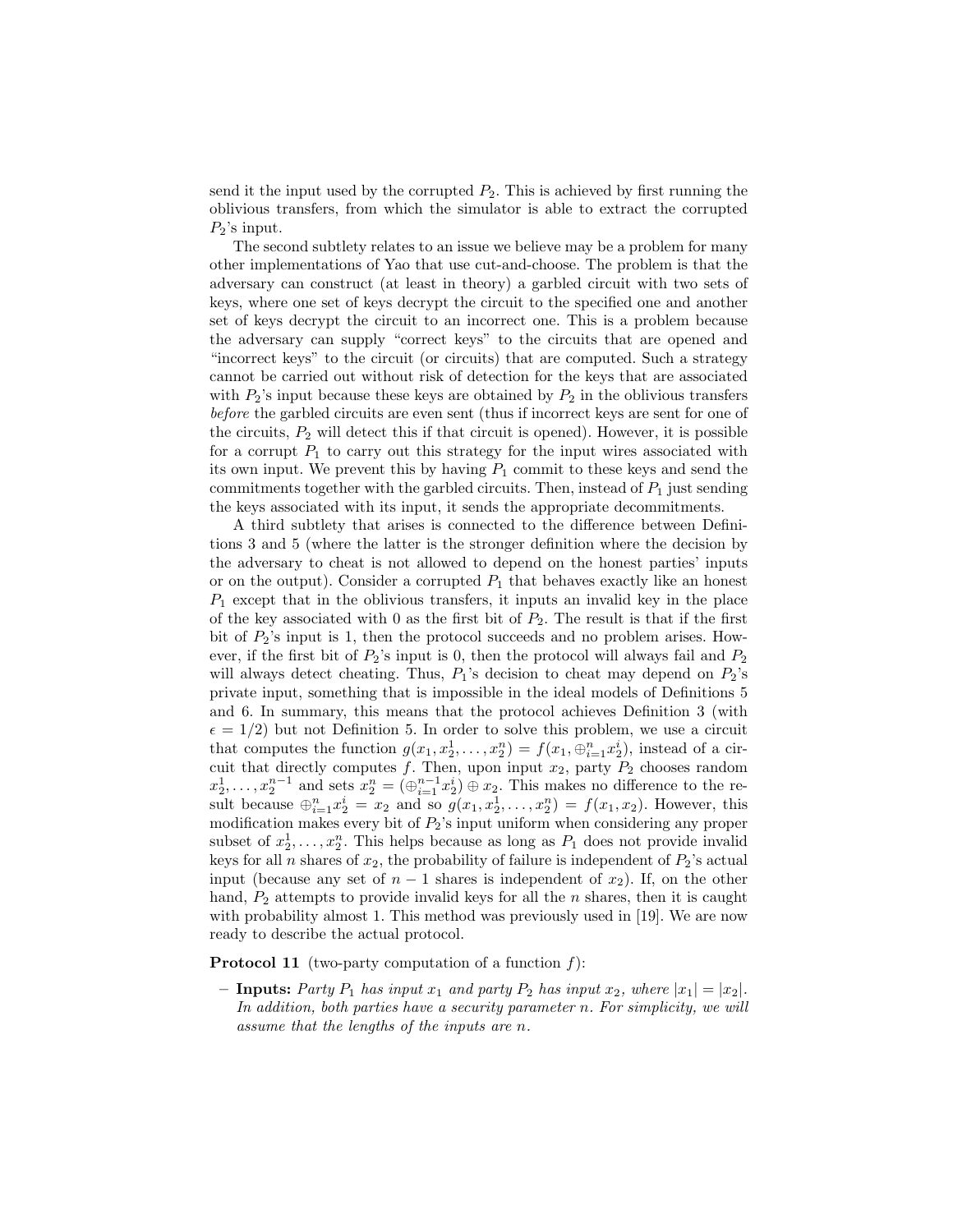send it the input used by the corrupted  $P_2$ . This is achieved by first running the oblivious transfers, from which the simulator is able to extract the corrupted  $P_2$ 's input.

The second subtlety relates to an issue we believe may be a problem for many other implementations of Yao that use cut-and-choose. The problem is that the adversary can construct (at least in theory) a garbled circuit with two sets of keys, where one set of keys decrypt the circuit to the specified one and another set of keys decrypt the circuit to an incorrect one. This is a problem because the adversary can supply "correct keys" to the circuits that are opened and "incorrect keys" to the circuit (or circuits) that are computed. Such a strategy cannot be carried out without risk of detection for the keys that are associated with  $P_2$ 's input because these keys are obtained by  $P_2$  in the oblivious transfers before the garbled circuits are even sent (thus if incorrect keys are sent for one of the circuits,  $P_2$  will detect this if that circuit is opened). However, it is possible for a corrupt  $P_1$  to carry out this strategy for the input wires associated with its own input. We prevent this by having  $P_1$  commit to these keys and send the commitments together with the garbled circuits. Then, instead of  $P_1$  just sending the keys associated with its input, it sends the appropriate decommitments.

A third subtlety that arises is connected to the difference between Definitions 3 and 5 (where the latter is the stronger definition where the decision by the adversary to cheat is not allowed to depend on the honest parties' inputs or on the output). Consider a corrupted  $P_1$  that behaves exactly like an honest  $P_1$  except that in the oblivious transfers, it inputs an invalid key in the place of the key associated with 0 as the first bit of  $P_2$ . The result is that if the first bit of  $P_2$ 's input is 1, then the protocol succeeds and no problem arises. However, if the first bit of  $P_2$ 's input is 0, then the protocol will always fail and  $P_2$ will always detect cheating. Thus,  $P_1$ 's decision to cheat may depend on  $P_2$ 's private input, something that is impossible in the ideal models of Definitions 5 and 6. In summary, this means that the protocol achieves Definition 3 (with  $\epsilon = 1/2$ ) but not Definition 5. In order to solve this problem, we use a circuit that computes the function  $g(x_1, x_2^1, \ldots, x_2^n) = f(x_1, \bigoplus_{i=1}^n x_2^i)$ , instead of a circuit that directly computes f. Then, upon input  $x_2$ , party  $P_2$  chooses random  $x_2^1, \ldots, x_2^{n-1}$  and sets  $x_2^n = (\bigoplus_{i=1}^{n-1} x_2^i) \oplus x_2$ . This makes no difference to the result because  $\bigoplus_{i=1}^n x_2^i = x_2$  and so  $g(x_1, x_2^1, \ldots, x_2^n) = f(x_1, x_2)$ . However, this modification makes every bit of  $P_2$ 's input uniform when considering any proper subset of  $x_2^1, \ldots, x_2^n$ . This helps because as long as  $P_1$  does not provide invalid keys for all n shares of  $x_2$ , the probability of failure is independent of  $P_2$ 's actual input (because any set of  $n-1$  shares is independent of  $x_2$ ). If, on the other hand,  $P_2$  attempts to provide invalid keys for all the *n* shares, then it is caught with probability almost 1. This method was previously used in [19]. We are now ready to describe the actual protocol.

**Protocol 11** (two-party computation of a function  $f$ ):

– Inputs: Party  $P_1$  has input  $x_1$  and party  $P_2$  has input  $x_2$ , where  $|x_1| = |x_2|$ . In addition, both parties have a security parameter n. For simplicity, we will assume that the lengths of the inputs are n.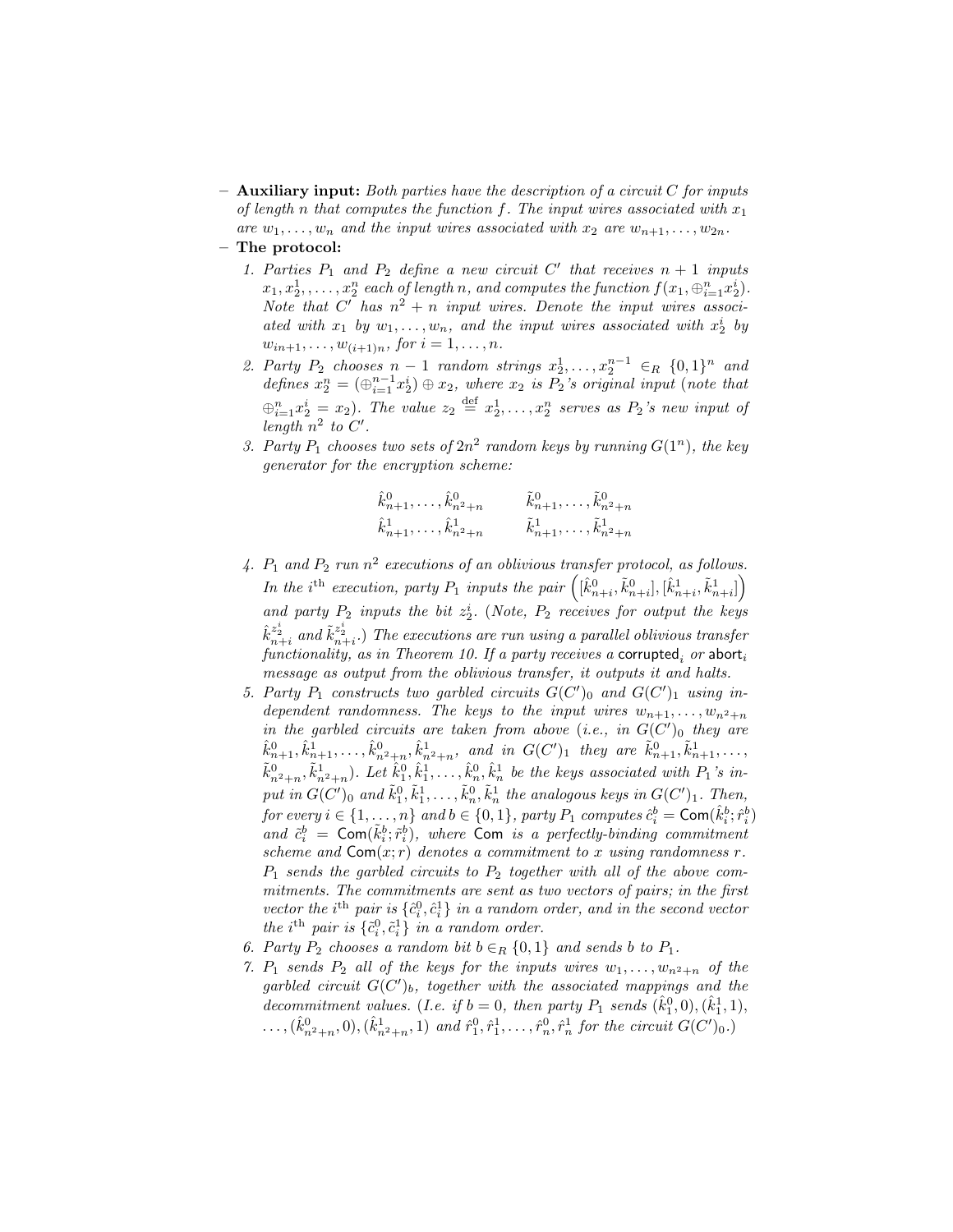- $-$  **Auxiliary input:** Both parties have the description of a circuit C for inputs of length n that computes the function f. The input wires associated with  $x_1$ are  $w_1, \ldots, w_n$  and the input wires associated with  $x_2$  are  $w_{n+1}, \ldots, w_{2n}$ .
- The protocol:
	- 1. Parties  $P_1$  and  $P_2$  define a new circuit C' that receives  $n + 1$  inputs  $x_1, x_2^1, \ldots, x_2^n$  each of length n, and computes the function  $f(x_1, \bigoplus_{i=1}^n x_2^i)$ . Note that C' has  $n^2 + n$  input wires. Denote the input wires associated with  $x_1$  by  $w_1, \ldots, w_n$ , and the input wires associated with  $x_2^i$  by  $w_{in+1}, \ldots, w_{(i+1)n},$  for  $i = 1, \ldots, n$ .
	- 2. Party  $P_2$  chooses  $n-1$  random strings  $x_2^1, \ldots, x_2^{n-1} \in_R \{0,1\}^n$  and defines  $x_2^n = (\bigoplus_{i=1}^{n-1} x_2^i) \oplus x_2$ , where  $x_2$  is  $P_2$ 's original input (note that  $\oplus_{i=1}^n x_2^i = x_2$ ). The value  $z_2 \stackrel{\text{def}}{=} x_2^1, \ldots, x_2^n$  serves as  $P_2$ 's new input of length  $n^2$  to  $C'$ .
	- 3. Party  $P_1$  chooses two sets of  $2n^2$  random keys by running  $G(1^n)$ , the key generator for the encryption scheme:

$$
\hat{k}_{n+1}^0, \ldots, \hat{k}_{n^2+n}^0 \qquad \tilde{k}_{n+1}^0, \ldots, \tilde{k}_{n^2+n}^0
$$
  

$$
\hat{k}_{n+1}^1, \ldots, \hat{k}_{n^2+n}^1 \qquad \tilde{k}_{n+1}^1, \ldots, \tilde{k}_{n^2+n}^1
$$

- 4.  $P_1$  and  $P_2$  run  $n^2$  executions of an oblivious transfer protocol, as follows.  $P_1$  and  $P_2$  run n<sup>2</sup> executions of an obtivious transfer protocol, as follow.<br>In the i<sup>th</sup> execution, party  $P_1$  inputs the pair  $\left([\hat{k}_{n+i}^0, \tilde{k}_{n+i}^0], [\hat{k}_{n+i}^1, \tilde{k}_{n+i}^1]\right)$ and party  $P_2$  inputs the bit  $z_2^i$ . (Note,  $P_2$  receives for output the keys  $\hat{k}_{n+i}^{z_2^i}$  and  $\tilde{k}_{n+i}^{z_2^i}$ .) The executions are run using a parallel oblivious transfer functionality, as in Theorem 10. If a party receives a corrupted, or abort, message as output from the oblivious transfer, it outputs it and halts.
- 5. Party  $P_1$  constructs two garbled circuits  $G(C')_0$  and  $G(C')_1$  using independent randomness. The keys to the input wires  $w_{n+1}, \ldots, w_{n^2+n}$ in the garbled circuits are taken from above (i.e., in  $G(C')$ <sub>0</sub> they are  $\hat{k}_{n+1}^0, \hat{k}_{n+1}^1, \ldots, \hat{k}_{n^2+n}^0, \hat{k}_{n^2+n}^1, \text{ and in } G(C')_1 \text{ they are } \tilde{k}_{n+1}^0, \tilde{k}_{n+1}^1, \ldots,$  $\tilde{k}_{n^2+n}^0, \tilde{k}_{n^2+n}^1$ . Let  $\hat{k}_1^0, \hat{k}_1^1, \ldots, \hat{k}_n^0, \hat{k}_n^1$  be the keys associated with  $P_1$ 's input in  $G(C')_0$  and  $\tilde{k}_1^0, \tilde{k}_1^1, \ldots, \tilde{k}_n^0, \tilde{k}_n^1$  the analogous keys in  $G(C')_1$ . Then, for every  $i \in \{1, \ldots, n\}$  and  $b \in \{0, 1\}$ , party  $P_1$  computes  $\hat{c}_i^b = \textsf{Com}(\hat{k}_i^b; \hat{r}_i^b)$ and  $\tilde{c}_i^b = \textsf{Com}(\tilde{k}_i^b; \tilde{r}_i^b)$ , where  $\textsf{Com}$  is a perfectly-binding commitment scheme and  $\mathsf{Com}(x; r)$  denotes a commitment to x using randomness r.  $P_1$  sends the garbled circuits to  $P_2$  together with all of the above commitments. The commitments are sent as two vectors of pairs; in the first vector the *i*<sup>th</sup> pair is  $\{\hat{c}_i^0, \hat{c}_i^1\}$  in a random order, and in the second vector the *i*<sup>th</sup> pair is  $\{\tilde{c}_i^0, \tilde{c}_i^1\}$  in a random order.
- 6. Party  $P_2$  chooses a random bit  $b \in_R \{0,1\}$  and sends b to  $P_1$ .
- 7.  $P_1$  sends  $P_2$  all of the keys for the inputs wires  $w_1, \ldots, w_{n^2+n}$  of the garbled circuit  $G(C')_b$ , together with the associated mappings and the decommitment values. (I.e. if  $b = 0$ , then party  $P_1$  sends  $(\hat{k}_1^0, 0), (\hat{k}_1^1, 1),$  $\ldots, (\hat{k}_{n^2+n}^0, 0), (\hat{k}_{n^2+n}^1, 1)$  and  $\hat{r}_1^0, \hat{r}_1^1, \ldots, \hat{r}_n^0, \hat{r}_n^1$  for the circuit  $G(C')_0$ .)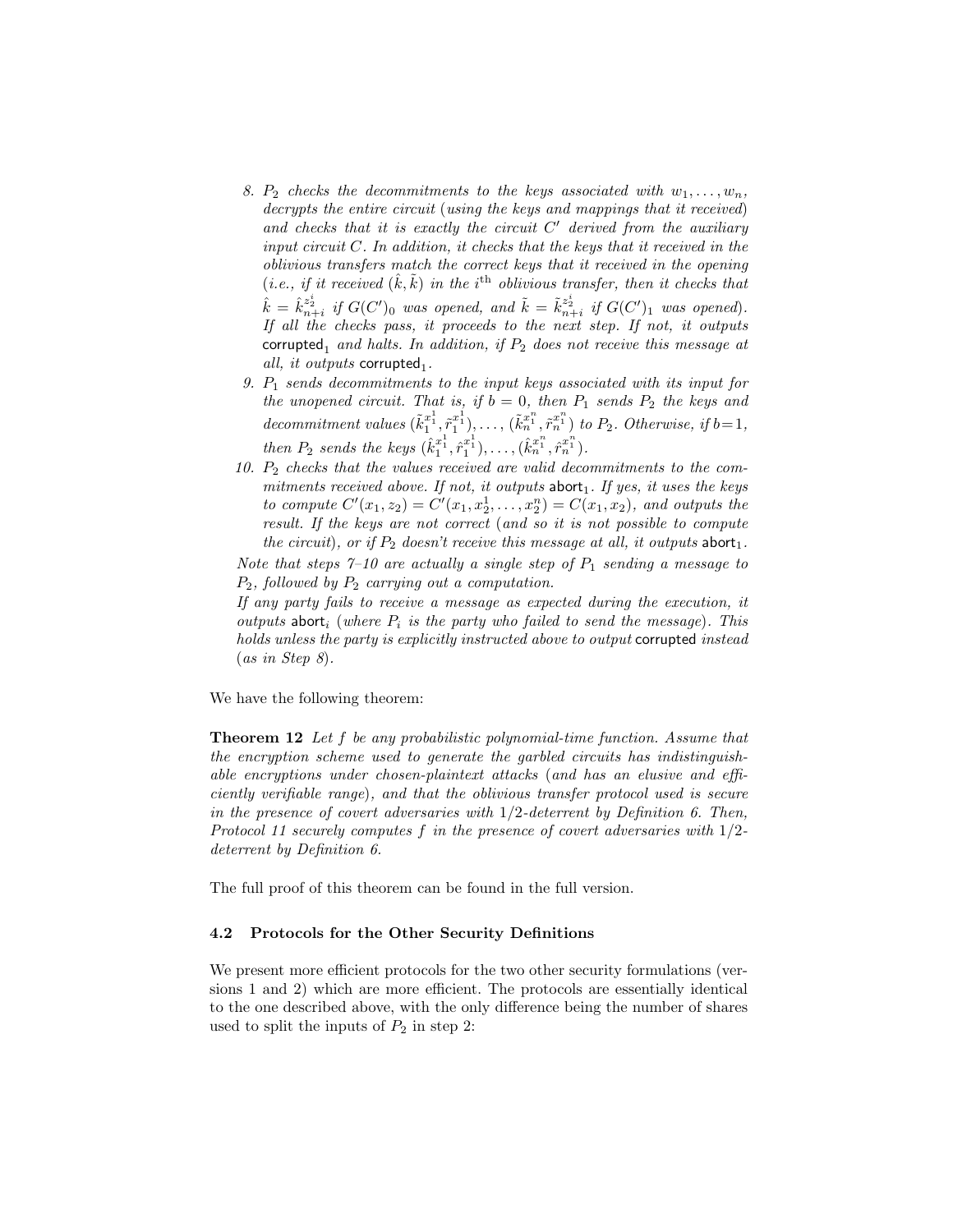- 8. P<sub>2</sub> checks the decommitments to the keys associated with  $w_1, \ldots, w_n$ , decrypts the entire circuit (using the keys and mappings that it received) and checks that it is exactly the circuit  $C'$  derived from the auxiliary input circuit  $C$ . In addition, it checks that the keys that it received in the oblivious transfers match the correct keys that it received in the opening (*i.e.*, if it received  $(\hat{k}, \tilde{k})$  in the i<sup>th</sup> oblivious transfer, then it checks that  $\hat{k} = \hat{k}^{z^i_2}_{n+i}$  if  $G(C')_0$  was opened, and  $\tilde{k} = \tilde{k}^{z^i_2}_{n+i}$  if  $G(C')_1$  was opened). If all the checks pass, it proceeds to the next step. If not, it outputs corrupted<sub>1</sub> and halts. In addition, if  $P_2$  does not receive this message at all, it outputs  $\text{corrupted}_1$ .
- 9.  $P_1$  sends decommitments to the input keys associated with its input for the unopened circuit. That is, if  $b = 0$ , then  $P_1$  sends  $P_2$  the keys and decommitment values  $(\tilde{k}_1^{x_1^1}, \tilde{r}_1^{x_1^1}), \ldots, (\tilde{k}_n^{x_1^n}, \tilde{r}_n^{x_1^n})$  to  $P_2$ . Otherwise, if  $b=1$ , then  $P_2$  sends the keys  $(\hat{k}_1^{x_1^1}, \hat{r}_1^{x_1^1}), \ldots, (\hat{k}_n^{x_1^n}, \hat{r}_n^{x_1^n}).$
- 10.  $P_2$  checks that the values received are valid decommitments to the commitments received above. If not, it outputs  $abort_1$ . If yes, it uses the keys to compute  $C'(x_1, z_2) = C'(x_1, x_2^1, \ldots, x_2^n) = C(x_1, x_2)$ , and outputs the result. If the keys are not correct (and so it is not possible to compute the circuit), or if  $P_2$  doesn't receive this message at all, it outputs abort<sub>1</sub>.

Note that steps  $7-10$  are actually a single step of  $P_1$  sending a message to  $P_2$ , followed by  $P_2$  carrying out a computation.

If any party fails to receive a message as expected during the execution, it outputs abort<sub>i</sub> (where  $P_i$  is the party who failed to send the message). This holds unless the party is explicitly instructed above to output corrupted instead  $(as in Step 8).$ 

We have the following theorem:

Theorem 12 Let f be any probabilistic polynomial-time function. Assume that the encryption scheme used to generate the garbled circuits has indistinguishable encryptions under chosen-plaintext attacks (and has an elusive and efficiently verifiable range), and that the oblivious transfer protocol used is secure in the presence of covert adversaries with  $1/2$ -deterrent by Definition 6. Then, Protocol 11 securely computes f in the presence of covert adversaries with  $1/2$ deterrent by Definition 6.

The full proof of this theorem can be found in the full version.

#### 4.2 Protocols for the Other Security Definitions

We present more efficient protocols for the two other security formulations (versions 1 and 2) which are more efficient. The protocols are essentially identical to the one described above, with the only difference being the number of shares used to split the inputs of  $P_2$  in step 2: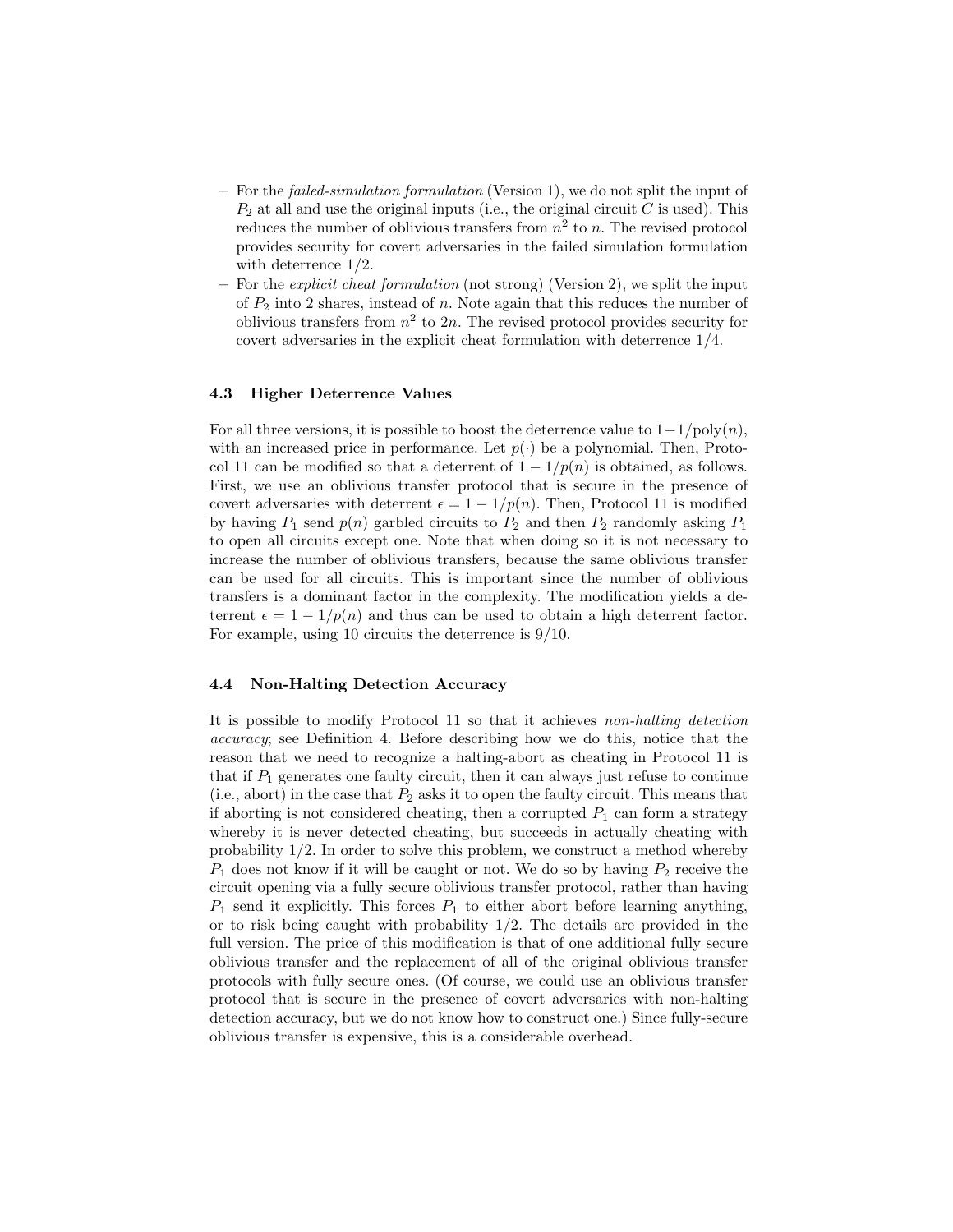- For the failed-simulation formulation (Version 1), we do not split the input of  $P_2$  at all and use the original inputs (i.e., the original circuit C is used). This reduces the number of oblivious transfers from  $n^2$  to n. The revised protocol provides security for covert adversaries in the failed simulation formulation with deterrence 1/2.
- $-$  For the *explicit cheat formulation* (not strong) (Version 2), we split the input of  $P_2$  into 2 shares, instead of n. Note again that this reduces the number of oblivious transfers from  $n^2$  to  $2n$ . The revised protocol provides security for covert adversaries in the explicit cheat formulation with deterrence 1/4.

#### 4.3 Higher Deterrence Values

For all three versions, it is possible to boost the deterrence value to  $1-1/\text{poly}(n)$ , with an increased price in performance. Let  $p(\cdot)$  be a polynomial. Then, Protocol 11 can be modified so that a deterrent of  $1 - 1/p(n)$  is obtained, as follows. First, we use an oblivious transfer protocol that is secure in the presence of covert adversaries with deterrent  $\epsilon = 1 - 1/p(n)$ . Then, Protocol 11 is modified by having  $P_1$  send  $p(n)$  garbled circuits to  $P_2$  and then  $P_2$  randomly asking  $P_1$ to open all circuits except one. Note that when doing so it is not necessary to increase the number of oblivious transfers, because the same oblivious transfer can be used for all circuits. This is important since the number of oblivious transfers is a dominant factor in the complexity. The modification yields a deterrent  $\epsilon = 1 - 1/p(n)$  and thus can be used to obtain a high deterrent factor. For example, using 10 circuits the deterrence is 9/10.

### 4.4 Non-Halting Detection Accuracy

It is possible to modify Protocol 11 so that it achieves non-halting detection accuracy; see Definition 4. Before describing how we do this, notice that the reason that we need to recognize a halting-abort as cheating in Protocol 11 is that if  $P_1$  generates one faulty circuit, then it can always just refuse to continue (i.e., abort) in the case that  $P_2$  asks it to open the faulty circuit. This means that if aborting is not considered cheating, then a corrupted  $P_1$  can form a strategy whereby it is never detected cheating, but succeeds in actually cheating with probability 1/2. In order to solve this problem, we construct a method whereby  $P_1$  does not know if it will be caught or not. We do so by having  $P_2$  receive the circuit opening via a fully secure oblivious transfer protocol, rather than having  $P_1$  send it explicitly. This forces  $P_1$  to either abort before learning anything, or to risk being caught with probability  $1/2$ . The details are provided in the full version. The price of this modification is that of one additional fully secure oblivious transfer and the replacement of all of the original oblivious transfer protocols with fully secure ones. (Of course, we could use an oblivious transfer protocol that is secure in the presence of covert adversaries with non-halting detection accuracy, but we do not know how to construct one.) Since fully-secure oblivious transfer is expensive, this is a considerable overhead.